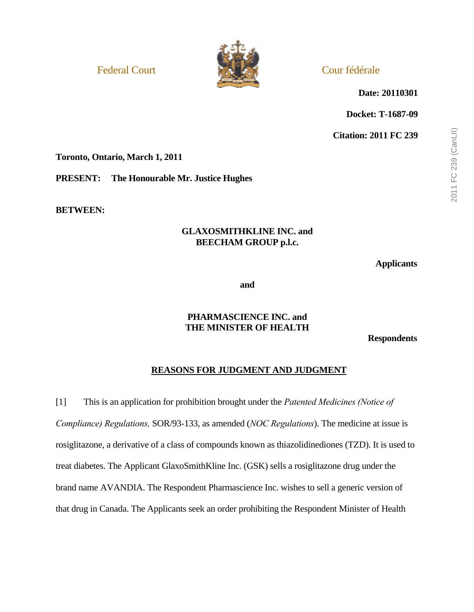Federal Court **Court Court Court Court Court Court Court Court Court Court Court Court Court Court Court Court Court Court Court Court Court Court Court Court Court Court Court Court Court Court Court Court Court Court Cou** 



**Date: 20110301** 

**Docket: T-1687-09** 

**Citation: 2011 FC 239** 

**Toronto, Ontario, March 1, 2011** 

**PRESENT: The Honourable Mr. Justice Hughes** 

**BETWEEN:** 

### **GLAXOSMITHKLINE INC. and BEECHAM GROUP p.l.c.**

 **Applicants**

**and** 

# **PHARMASCIENCE INC. and THE MINISTER OF HEALTH**

 **Respondents**

# **REASONS FOR JUDGMENT AND JUDGMENT**

[1] This is an application for prohibition brought under the *Patented Medicines (Notice of Compliance) Regulations,* SOR/93-133, as amended (*NOC Regulations*). The medicine at issue is rosiglitazone, a derivative of a class of compounds known as thiazolidinediones (TZD). It is used to treat diabetes. The Applicant GlaxoSmithKline Inc. (GSK) sells a rosiglitazone drug under the brand name AVANDIA. The Respondent Pharmascience Inc. wishes to sell a generic version of that drug in Canada. The Applicants seek an order prohibiting the Respondent Minister of Health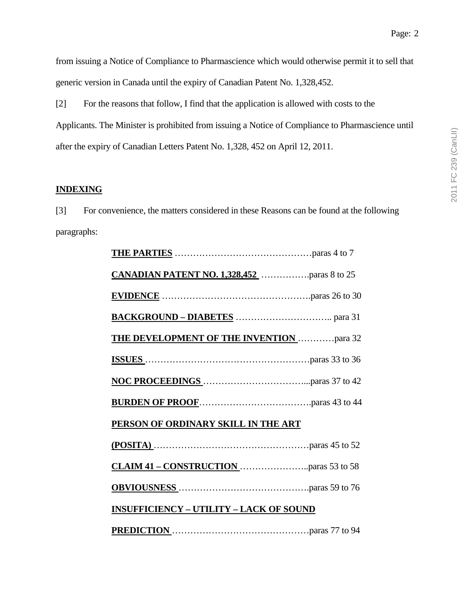from issuing a Notice of Compliance to Pharmascience which would otherwise permit it to sell that generic version in Canada until the expiry of Canadian Patent No. 1,328,452.

[2] For the reasons that follow, I find that the application is allowed with costs to the Applicants. The Minister is prohibited from issuing a Notice of Compliance to Pharmascience until after the expiry of Canadian Letters Patent No. 1,328, 452 on April 12, 2011.

# **INDEXING**

[3] For convenience, the matters considered in these Reasons can be found at the following paragraphs:

| <b>THE DEVELOPMENT OF THE INVENTION</b> para 32 |  |
|-------------------------------------------------|--|
|                                                 |  |
|                                                 |  |
|                                                 |  |
| PERSON OF ORDINARY SKILL IN THE ART             |  |
|                                                 |  |
|                                                 |  |
|                                                 |  |
| <b>INSUFFICIENCY - UTILITY - LACK OF SOUND</b>  |  |
|                                                 |  |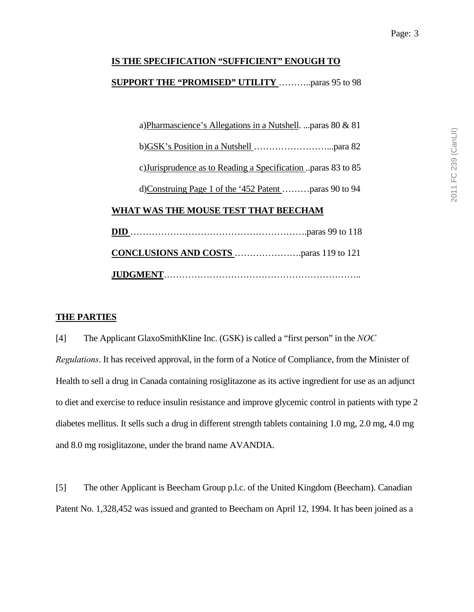# **IS THE SPECIFICATION "SUFFICIENT" ENOUGH TO SUPPORT THE "PROMISED" UTILITY** ………..paras 95 to 98

a)Pharmascience's Allegations in a Nutshell. ...paras 80 & 81

b)GSK's Position in a Nutshell ……………………...para 82

c)Jurisprudence as to Reading a Specification ..paras 83 to 85

d)Construing Page 1 of the '452 Patent ………paras 90 to 94

#### **WHAT WAS THE MOUSE TEST THAT BEECHAM**

#### **THE PARTIES**

[4] The Applicant GlaxoSmithKline Inc. (GSK) is called a "first person" in the *NOC Regulations*. It has received approval, in the form of a Notice of Compliance, from the Minister of Health to sell a drug in Canada containing rosiglitazone as its active ingredient for use as an adjunct to diet and exercise to reduce insulin resistance and improve glycemic control in patients with type 2 diabetes mellitus. It sells such a drug in different strength tablets containing 1.0 mg, 2.0 mg, 4.0 mg and 8.0 mg rosiglitazone, under the brand name AVANDIA.

[5] The other Applicant is Beecham Group p.l.c. of the United Kingdom (Beecham). Canadian Patent No. 1,328,452 was issued and granted to Beecham on April 12, 1994. It has been joined as a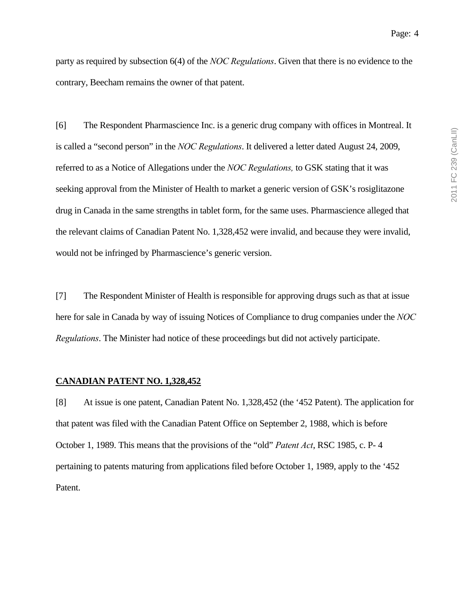party as required by subsection 6(4) of the *NOC Regulations*. Given that there is no evidence to the contrary, Beecham remains the owner of that patent.

[6] The Respondent Pharmascience Inc. is a generic drug company with offices in Montreal. It is called a "second person" in the *NOC Regulations*. It delivered a letter dated August 24, 2009, referred to as a Notice of Allegations under the *NOC Regulations,* to GSK stating that it was seeking approval from the Minister of Health to market a generic version of GSK's rosiglitazone drug in Canada in the same strengths in tablet form, for the same uses. Pharmascience alleged that the relevant claims of Canadian Patent No. 1,328,452 were invalid, and because they were invalid, would not be infringed by Pharmascience's generic version.

[7] The Respondent Minister of Health is responsible for approving drugs such as that at issue here for sale in Canada by way of issuing Notices of Compliance to drug companies under the *NOC Regulations*. The Minister had notice of these proceedings but did not actively participate.

#### **CANADIAN PATENT NO. 1,328,452**

[8] At issue is one patent, Canadian Patent No. 1,328,452 (the '452 Patent). The application for that patent was filed with the Canadian Patent Office on September 2, 1988, which is before October 1, 1989. This means that the provisions of the "old" *Patent Act*, RSC 1985, c. P- 4 pertaining to patents maturing from applications filed before October 1, 1989, apply to the '452 Patent.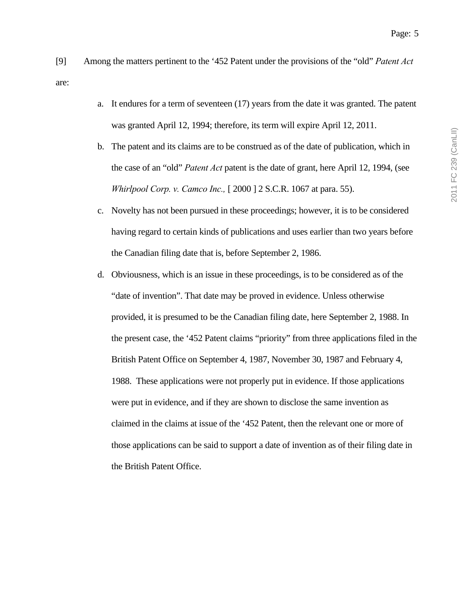- [9] Among the matters pertinent to the '452 Patent under the provisions of the "old" *Patent Act* are:
	- a. It endures for a term of seventeen (17) years from the date it was granted. The patent was granted April 12, 1994; therefore, its term will expire April 12, 2011.
	- b. The patent and its claims are to be construed as of the date of publication, which in the case of an "old" *Patent Act* patent is the date of grant, here April 12, 1994, (see *Whirlpool Corp. v. Camco Inc.,* [ 2000 ] 2 S.C.R. 1067 at para. 55).
	- c. Novelty has not been pursued in these proceedings; however, it is to be considered having regard to certain kinds of publications and uses earlier than two years before the Canadian filing date that is, before September 2, 1986.
	- d. Obviousness, which is an issue in these proceedings, is to be considered as of the "date of invention". That date may be proved in evidence. Unless otherwise provided, it is presumed to be the Canadian filing date, here September 2, 1988. In the present case, the '452 Patent claims "priority" from three applications filed in the British Patent Office on September 4, 1987, November 30, 1987 and February 4, 1988. These applications were not properly put in evidence. If those applications were put in evidence, and if they are shown to disclose the same invention as claimed in the claims at issue of the '452 Patent, then the relevant one or more of those applications can be said to support a date of invention as of their filing date in the British Patent Office.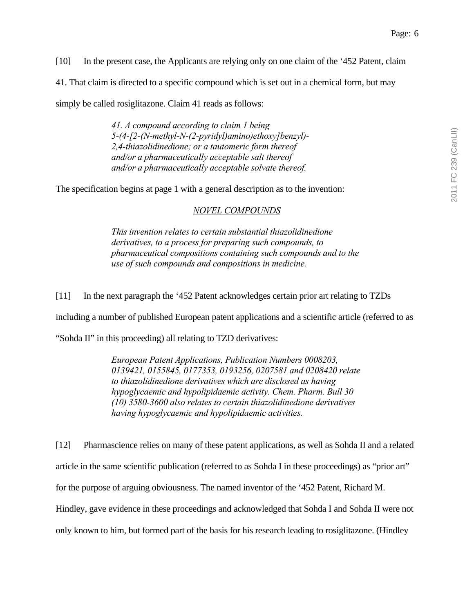[10] In the present case, the Applicants are relying only on one claim of the '452 Patent, claim

41. That claim is directed to a specific compound which is set out in a chemical form, but may

simply be called rosiglitazone. Claim 41 reads as follows:

*41. A compound according to claim 1 being 5-(4-[2-(N-methyl-N-(2-pyridyl)amino)ethoxy]benzyl)- 2,4-thiazolidinedione; or a tautomeric form thereof and/or a pharmaceutically acceptable salt thereof and/or a pharmaceutically acceptable solvate thereof.* 

The specification begins at page 1 with a general description as to the invention:

## *NOVEL COMPOUNDS*

*This invention relates to certain substantial thiazolidinedione derivatives, to a process for preparing such compounds, to pharmaceutical compositions containing such compounds and to the use of such compounds and compositions in medicine.* 

[11] In the next paragraph the '452 Patent acknowledges certain prior art relating to TZDs

including a number of published European patent applications and a scientific article (referred to as

"Sohda II" in this proceeding) all relating to TZD derivatives:

*European Patent Applications, Publication Numbers 0008203, 0139421, 0155845, 0177353, 0193256, 0207581 and 0208420 relate to thiazolidinedione derivatives which are disclosed as having hypoglycaemic and hypolipidaemic activity. Chem. Pharm. Bull 30 (10) 3580-3600 also relates to certain thiazolidinedione derivatives having hypoglycaemic and hypolipidaemic activities.* 

[12] Pharmascience relies on many of these patent applications, as well as Sohda II and a related article in the same scientific publication (referred to as Sohda I in these proceedings) as "prior art" for the purpose of arguing obviousness. The named inventor of the '452 Patent, Richard M. Hindley, gave evidence in these proceedings and acknowledged that Sohda I and Sohda II were not only known to him, but formed part of the basis for his research leading to rosiglitazone. (Hindley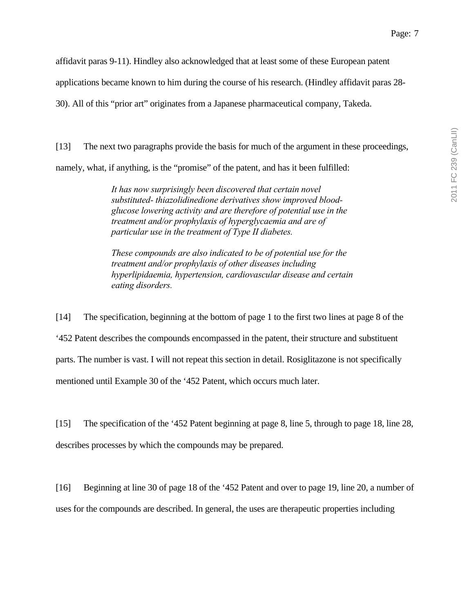affidavit paras 9-11). Hindley also acknowledged that at least some of these European patent

applications became known to him during the course of his research. (Hindley affidavit paras 28-

30). All of this "prior art" originates from a Japanese pharmaceutical company, Takeda.

[13] The next two paragraphs provide the basis for much of the argument in these proceedings, namely, what, if anything, is the "promise" of the patent, and has it been fulfilled:

> *It has now surprisingly been discovered that certain novel substituted- thiazolidinedione derivatives show improved bloodglucose lowering activity and are therefore of potential use in the treatment and/or prophylaxis of hyperglycaemia and are of particular use in the treatment of Type II diabetes.*

*These compounds are also indicated to be of potential use for the treatment and/or prophylaxis of other diseases including hyperlipidaemia, hypertension, cardiovascular disease and certain eating disorders.* 

[14] The specification, beginning at the bottom of page 1 to the first two lines at page 8 of the '452 Patent describes the compounds encompassed in the patent, their structure and substituent parts. The number is vast. I will not repeat this section in detail. Rosiglitazone is not specifically mentioned until Example 30 of the '452 Patent, which occurs much later.

[15] The specification of the '452 Patent beginning at page 8, line 5, through to page 18, line 28, describes processes by which the compounds may be prepared.

[16] Beginning at line 30 of page 18 of the '452 Patent and over to page 19, line 20, a number of uses for the compounds are described. In general, the uses are therapeutic properties including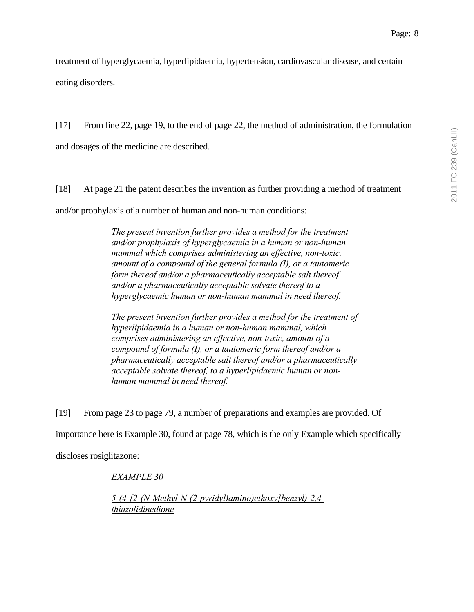treatment of hyperglycaemia, hyperlipidaemia, hypertension, cardiovascular disease, and certain eating disorders.

[17] From line 22, page 19, to the end of page 22, the method of administration, the formulation and dosages of the medicine are described.

[18] At page 21 the patent describes the invention as further providing a method of treatment and/or prophylaxis of a number of human and non-human conditions:

> *The present invention further provides a method for the treatment and/or prophylaxis of hyperglycaemia in a human or non-human mammal which comprises administering an effective, non-toxic, amount of a compound of the general formula (I), or a tautomeric form thereof and/or a pharmaceutically acceptable salt thereof and/or a pharmaceutically acceptable solvate thereof to a hyperglycaemic human or non-human mammal in need thereof.*

*The present invention further provides a method for the treatment of hyperlipidaemia in a human or non-human mammal, which comprises administering an effective, non-toxic, amount of a compound of formula (I), or a tautomeric form thereof and/or a pharmaceutically acceptable salt thereof and/or a pharmaceutically acceptable solvate thereof, to a hyperlipidaemic human or nonhuman mammal in need thereof.* 

[19] From page 23 to page 79, a number of preparations and examples are provided. Of importance here is Example 30, found at page 78, which is the only Example which specifically discloses rosiglitazone:

# *EXAMPLE 30*

*5-(4-[2-(N-Methyl-N-(2-pyridyl)amino)ethoxy]benzyl)-2,4 thiazolidinedione*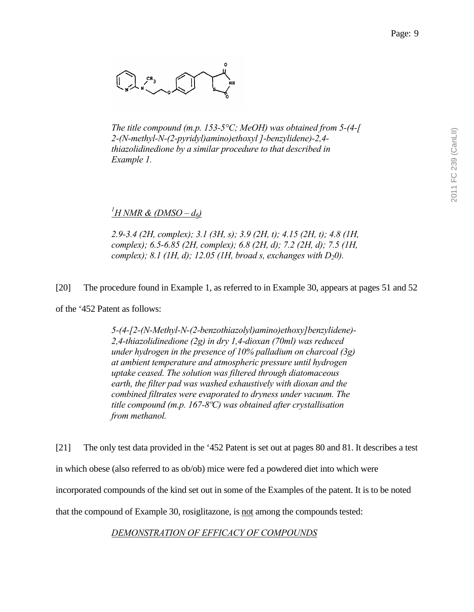*The title compound (m.p. 153-5°C; MeOH) was obtained from 5-(4-[ 2-(N-methyl-N-(2-pyridyl)amino)ethoxyl ]-benzylidene)-2,4 thiazolidinedione by a similar procedure to that described in Example 1.* 

*<sup>1</sup>H NMR & (DMSO – d<sub>6</sub>)* 

*2.9-3.4 (2H, complex); 3.1 (3H, s); 3.9 (2H, t); 4.15 (2H, t); 4.8 (1H, complex); 6.5-6.85 (2H, complex); 6.8 (2H, d); 7.2 (2H, d); 7.5 (1H, complex); 8.1 (1H, d); 12.05 (1H, broad s, exchanges with D<sub>2</sub>0).* 

[20] The procedure found in Example 1, as referred to in Example 30, appears at pages 51 and 52

of the '452 Patent as follows:

*5-(4-[2-(N-Methyl-N-(2-benzothiazolyl)amino)ethoxy]benzylidene)- 2,4-thiazolidinedione (2g) in dry 1,4-dioxan (70ml) was reduced under hydrogen in the presence of 10% palladium on charcoal (3g) at ambient temperature and atmospheric pressure until hydrogen uptake ceased. The solution was filtered through diatomaceous earth, the filter pad was washed exhaustively with dioxan and the combined filtrates were evaporated to dryness under vacuum. The title compound (m.p. 167-8ºC) was obtained after crystallisation from methanol.* 

[21] The only test data provided in the '452 Patent is set out at pages 80 and 81. It describes a test in which obese (also referred to as ob/ob) mice were fed a powdered diet into which were incorporated compounds of the kind set out in some of the Examples of the patent. It is to be noted that the compound of Example 30, rosiglitazone, is not among the compounds tested:

*DEMONSTRATION OF EFFICACY OF COMPOUNDS*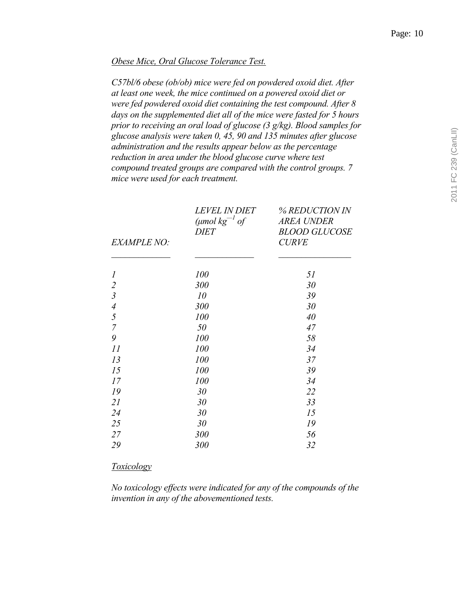#### *Obese Mice, Oral Glucose Tolerance Test.*

*C57bl/6 obese (ob/ob) mice were fed on powdered oxoid diet. After at least one week, the mice continued on a powered oxoid diet or were fed powdered oxoid diet containing the test compound. After 8 days on the supplemented diet all of the mice were fasted for 5 hours prior to receiving an oral load of glucose (3 g/kg). Blood samples for glucose analysis were taken 0, 45, 90 and 135 minutes after glucose administration and the results appear below as the percentage reduction in area under the blood glucose curve where test compound treated groups are compared with the control groups. 7 mice were used for each treatment.* 

|                          | <b>LEVEL IN DIET</b><br>( $\mu$ mol $kg^{-1}$ of<br><b>DIET</b> | % REDUCTION IN<br><b>AREA UNDER</b><br><b>BLOOD GLUCOSE</b> |
|--------------------------|-----------------------------------------------------------------|-------------------------------------------------------------|
| <b>EXAMPLE NO:</b>       |                                                                 | <b>CURVE</b>                                                |
| 1                        | 100                                                             | 51                                                          |
| $\overline{2}$           | 300                                                             | 30                                                          |
| $\mathfrak{Z}$           | 10                                                              | 39                                                          |
| $\overline{\mathcal{A}}$ | 300                                                             | 30                                                          |
| 5                        | 100                                                             | 40                                                          |
| $\overline{7}$           | 50                                                              | 47                                                          |
| 9                        | 100                                                             | 58                                                          |
| 11                       | 100                                                             | 34                                                          |
| 13                       | 100                                                             | 37                                                          |
| 15                       | 100                                                             | 39                                                          |
| 17                       | 100                                                             | 34                                                          |
| 19                       | 30                                                              | 22                                                          |
| 21                       | 30                                                              | 33                                                          |
| 24                       | 30                                                              | 15                                                          |
| 25                       | 30                                                              | 19                                                          |
| 27                       | 300                                                             | 56                                                          |
| 29                       | 300                                                             | 32                                                          |

*Toxicology*

*No toxicology effects were indicated for any of the compounds of the invention in any of the abovementioned tests.*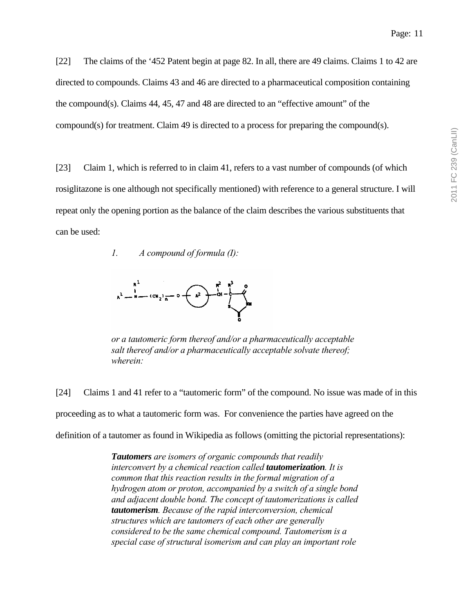[22] The claims of the '452 Patent begin at page 82. In all, there are 49 claims. Claims 1 to 42 are directed to compounds. Claims 43 and 46 are directed to a pharmaceutical composition containing the compound(s). Claims 44, 45, 47 and 48 are directed to an "effective amount" of the compound(s) for treatment. Claim 49 is directed to a process for preparing the compound(s).

[23] Claim 1, which is referred to in claim 41, refers to a vast number of compounds (of which rosiglitazone is one although not specifically mentioned) with reference to a general structure. I will repeat only the opening portion as the balance of the claim describes the various substituents that can be used:

*1. A compound of formula (I):* 



*or a tautomeric form thereof and/or a pharmaceutically acceptable salt thereof and/or a pharmaceutically acceptable solvate thereof; wherein:* 

[24] Claims 1 and 41 refer to a "tautomeric form" of the compound. No issue was made of in this proceeding as to what a tautomeric form was. For convenience the parties have agreed on the definition of a tautomer as found in Wikipedia as follows (omitting the pictorial representations):

> *Tautomers are isomers of organic compounds that readily interconvert by a chemical reaction called tautomerization. It is common that this reaction results in the formal migration of a hydrogen atom or proton, accompanied by a switch of a single bond and adjacent double bond. The concept of tautomerizations is called tautomerism. Because of the rapid interconversion, chemical structures which are tautomers of each other are generally considered to be the same chemical compound. Tautomerism is a special case of structural isomerism and can play an important role*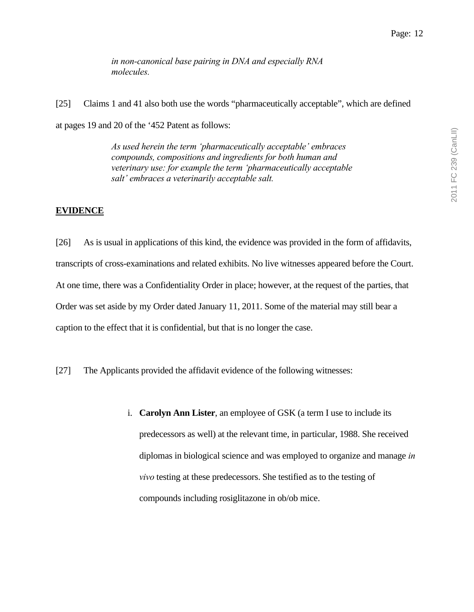*in non-canonical base pairing in DNA and especially RNA molecules.* 

[25] Claims 1 and 41 also both use the words "pharmaceutically acceptable", which are defined at pages 19 and 20 of the '452 Patent as follows:

> *As used herein the term 'pharmaceutically acceptable' embraces compounds, compositions and ingredients for both human and veterinary use: for example the term ëpharmaceutically acceptable*  salt' embraces a veterinarily acceptable salt.

# **EVIDENCE**

[26] As is usual in applications of this kind, the evidence was provided in the form of affidavits, transcripts of cross-examinations and related exhibits. No live witnesses appeared before the Court. At one time, there was a Confidentiality Order in place; however, at the request of the parties, that Order was set aside by my Order dated January 11, 2011. Some of the material may still bear a caption to the effect that it is confidential, but that is no longer the case.

[27] The Applicants provided the affidavit evidence of the following witnesses:

i. **Carolyn Ann Lister**, an employee of GSK (a term I use to include its predecessors as well) at the relevant time, in particular, 1988. She received diplomas in biological science and was employed to organize and manage *in vivo* testing at these predecessors. She testified as to the testing of compounds including rosiglitazone in ob/ob mice.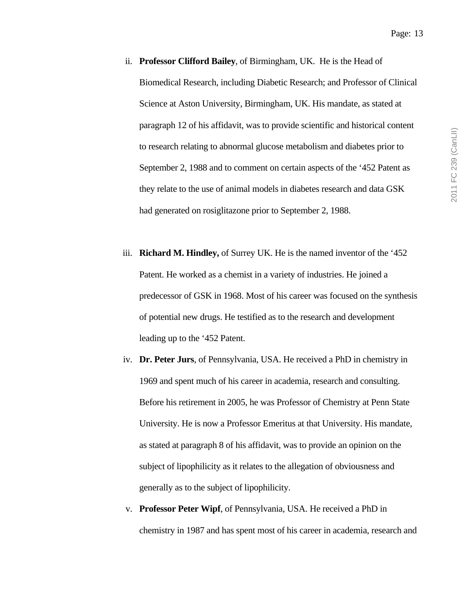- ii. **Professor Clifford Bailey**, of Birmingham, UK. He is the Head of Biomedical Research, including Diabetic Research; and Professor of Clinical Science at Aston University, Birmingham, UK. His mandate, as stated at paragraph 12 of his affidavit, was to provide scientific and historical content to research relating to abnormal glucose metabolism and diabetes prior to September 2, 1988 and to comment on certain aspects of the '452 Patent as they relate to the use of animal models in diabetes research and data GSK had generated on rosiglitazone prior to September 2, 1988.
- iii. **Richard M. Hindley,** of Surrey UK. He is the named inventor of the '452 Patent. He worked as a chemist in a variety of industries. He joined a predecessor of GSK in 1968. Most of his career was focused on the synthesis of potential new drugs. He testified as to the research and development leading up to the '452 Patent.
- iv. **Dr. Peter Jurs**, of Pennsylvania, USA. He received a PhD in chemistry in 1969 and spent much of his career in academia, research and consulting. Before his retirement in 2005, he was Professor of Chemistry at Penn State University. He is now a Professor Emeritus at that University. His mandate, as stated at paragraph 8 of his affidavit, was to provide an opinion on the subject of lipophilicity as it relates to the allegation of obviousness and generally as to the subject of lipophilicity.
- v. **Professor Peter Wipf**, of Pennsylvania, USA. He received a PhD in chemistry in 1987 and has spent most of his career in academia, research and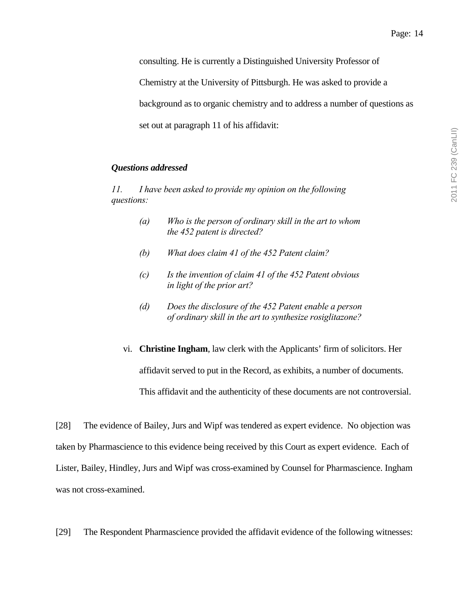consulting. He is currently a Distinguished University Professor of Chemistry at the University of Pittsburgh. He was asked to provide a background as to organic chemistry and to address a number of questions as set out at paragraph 11 of his affidavit:

#### *Questions addressed*

*11. I have been asked to provide my opinion on the following questions:* 

- *(a) Who is the person of ordinary skill in the art to whom the 452 patent is directed?*
- *(b) What does claim 41 of the 452 Patent claim?*
- *(c) Is the invention of claim 41 of the 452 Patent obvious in light of the prior art?*
- *(d) Does the disclosure of the 452 Patent enable a person of ordinary skill in the art to synthesize rosiglitazone?*
- vi. **Christine Ingham**, law clerk with the Applicants' firm of solicitors. Her affidavit served to put in the Record, as exhibits, a number of documents. This affidavit and the authenticity of these documents are not controversial.

[28] The evidence of Bailey, Jurs and Wipf was tendered as expert evidence. No objection was taken by Pharmascience to this evidence being received by this Court as expert evidence. Each of Lister, Bailey, Hindley, Jurs and Wipf was cross-examined by Counsel for Pharmascience. Ingham was not cross-examined.

[29] The Respondent Pharmascience provided the affidavit evidence of the following witnesses: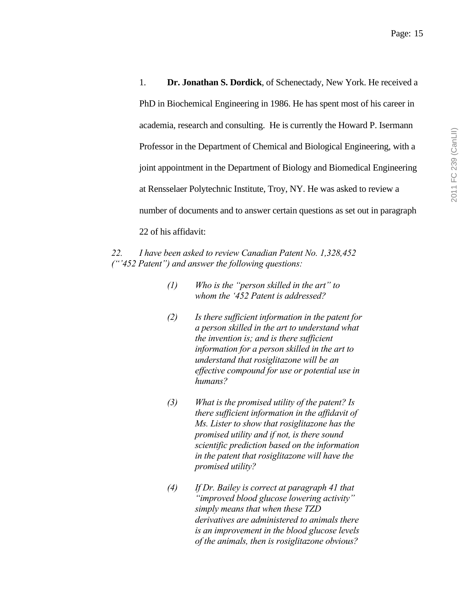1. **Dr. Jonathan S. Dordick**, of Schenectady, New York. He received a PhD in Biochemical Engineering in 1986. He has spent most of his career in academia, research and consulting. He is currently the Howard P. Isermann Professor in the Department of Chemical and Biological Engineering, with a joint appointment in the Department of Biology and Biomedical Engineering at Rensselaer Polytechnic Institute, Troy, NY. He was asked to review a number of documents and to answer certain questions as set out in paragraph 22 of his affidavit:

*22. I have been asked to review Canadian Patent No. 1,328,452 ("'452 Patent") and answer the following questions:* 

- $(1)$  *Who is the "person skilled in the art" to whom the ë452 Patent is addressed?*
- *(2) Is there sufficient information in the patent for a person skilled in the art to understand what the invention is; and is there sufficient information for a person skilled in the art to understand that rosiglitazone will be an effective compound for use or potential use in humans?*
- *(3) What is the promised utility of the patent? Is there sufficient information in the affidavit of Ms. Lister to show that rosiglitazone has the promised utility and if not, is there sound scientific prediction based on the information in the patent that rosiglitazone will have the promised utility?*
- *(4) If Dr. Bailey is correct at paragraph 41 that*  <sup>2</sup>*improved blood glucose lowering activity*<sup>\*</sup> *simply means that when these TZD derivatives are administered to animals there is an improvement in the blood glucose levels of the animals, then is rosiglitazone obvious?*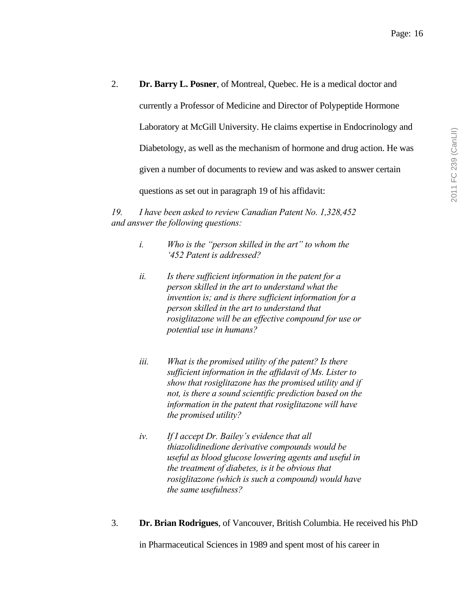2. **Dr. Barry L. Posner**, of Montreal, Quebec. He is a medical doctor and currently a Professor of Medicine and Director of Polypeptide Hormone Laboratory at McGill University. He claims expertise in Endocrinology and Diabetology, as well as the mechanism of hormone and drug action. He was given a number of documents to review and was asked to answer certain questions as set out in paragraph 19 of his affidavit:

*19. I have been asked to review Canadian Patent No. 1,328,452 and answer the following questions:* 

- *i. Who is the "person skilled in the art" to whom the ë452 Patent is addressed?*
- *ii. Is there sufficient information in the patent for a person skilled in the art to understand what the invention is; and is there sufficient information for a person skilled in the art to understand that rosiglitazone will be an effective compound for use or potential use in humans?*
- *iii. What is the promised utility of the patent? Is there sufficient information in the affidavit of Ms. Lister to show that rosiglitazone has the promised utility and if not, is there a sound scientific prediction based on the information in the patent that rosiglitazone will have the promised utility?*
- *iv.* If I accept Dr. Bailey's evidence that all *thiazolidinedione derivative compounds would be useful as blood glucose lowering agents and useful in the treatment of diabetes, is it be obvious that rosiglitazone (which is such a compound) would have the same usefulness?*
- 3. **Dr. Brian Rodrigues**, of Vancouver, British Columbia. He received his PhD

in Pharmaceutical Sciences in 1989 and spent most of his career in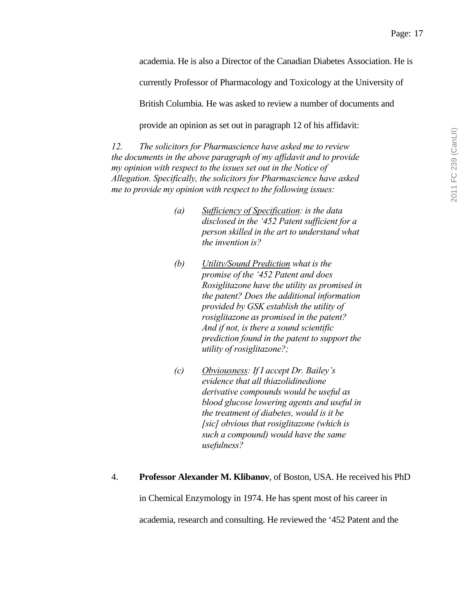academia. He is also a Director of the Canadian Diabetes Association. He is

currently Professor of Pharmacology and Toxicology at the University of

British Columbia. He was asked to review a number of documents and

provide an opinion as set out in paragraph 12 of his affidavit:

*12. The solicitors for Pharmascience have asked me to review the documents in the above paragraph of my affidavit and to provide my opinion with respect to the issues set out in the Notice of Allegation. Specifically, the solicitors for Pharmascience have asked me to provide my opinion with respect to the following issues:* 

- *(a) Sufficiency of Specification: is the data disclosed in the ë452 Patent sufficient for a person skilled in the art to understand what the invention is?*
- *(b) Utility/Sound Prediction what is the promise of the ë452 Patent and does Rosiglitazone have the utility as promised in the patent? Does the additional information provided by GSK establish the utility of rosiglitazone as promised in the patent? And if not, is there a sound scientific prediction found in the patent to support the utility of rosiglitazone?;*
- *(c) Obviousness: If I accept Dr. Baileyís evidence that all thiazolidinedione derivative compounds would be useful as blood glucose lowering agents and useful in the treatment of diabetes, would is it be [sic] obvious that rosiglitazone (which is such a compound) would have the same usefulness?*

## 4. **Professor Alexander M. Klibanov**, of Boston, USA. He received his PhD

in Chemical Enzymology in 1974. He has spent most of his career in

academia, research and consulting. He reviewed the '452 Patent and the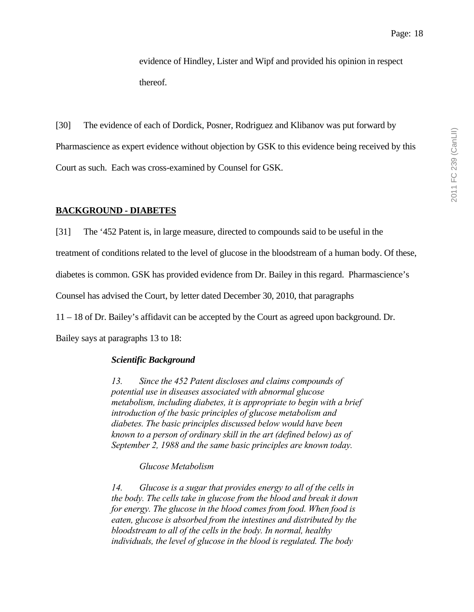evidence of Hindley, Lister and Wipf and provided his opinion in respect thereof.

[30] The evidence of each of Dordick, Posner, Rodriguez and Klibanov was put forward by Pharmascience as expert evidence without objection by GSK to this evidence being received by this Court as such. Each was cross-examined by Counsel for GSK.

## **BACKGROUND - DIABETES**

[31] The '452 Patent is, in large measure, directed to compounds said to be useful in the

treatment of conditions related to the level of glucose in the bloodstream of a human body. Of these,

diabetes is common. GSK has provided evidence from Dr. Bailey in this regard. Pharmascience's

Counsel has advised the Court, by letter dated December 30, 2010, that paragraphs

11 – 18 of Dr. Bailey's affidavit can be accepted by the Court as agreed upon background. Dr.

Bailey says at paragraphs 13 to 18:

## *Scientific Background*

*13. Since the 452 Patent discloses and claims compounds of potential use in diseases associated with abnormal glucose metabolism, including diabetes, it is appropriate to begin with a brief introduction of the basic principles of glucose metabolism and diabetes. The basic principles discussed below would have been known to a person of ordinary skill in the art (defined below) as of September 2, 1988 and the same basic principles are known today.* 

*Glucose Metabolism* 

*14. Glucose is a sugar that provides energy to all of the cells in the body. The cells take in glucose from the blood and break it down for energy. The glucose in the blood comes from food. When food is eaten, glucose is absorbed from the intestines and distributed by the bloodstream to all of the cells in the body. In normal, healthy individuals, the level of glucose in the blood is regulated. The body*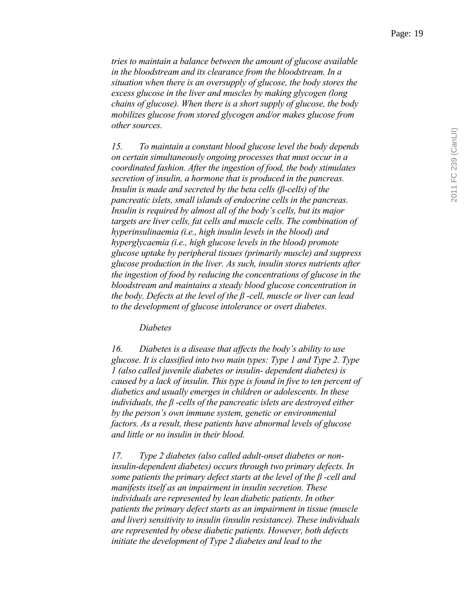*tries to maintain a balance between the amount of glucose available in the bloodstream and its clearance from the bloodstream. In a situation when there is an oversupply of glucose, the body stores the excess glucose in the liver and muscles by making glycogen (long chains of glucose). When there is a short supply of glucose, the body mobilizes glucose from stored glycogen and/or makes glucose from other sources.* 

*15. To maintain a constant blood glucose level the body depends on certain simultaneously ongoing processes that must occur in a coordinated fashion. After the ingestion of food, the body stimulates secretion of insulin, a hormone that is produced in the pancreas. Insulin is made and secreted by the beta cells (β-cells) of the pancreatic islets, small islands of endocrine cells in the pancreas.*  Insulin is required by almost all of the body's cells, but its major *targets are liver cells, fat cells and muscle cells. The combination of hyperinsulinaemia (i.e., high insulin levels in the blood) and hyperglycaemia (i.e., high glucose levels in the blood) promote glucose uptake by peripheral tissues (primarily muscle) and suppress glucose production in the liver. As such, insulin stores nutrients after the ingestion of food by reducing the concentrations of glucose in the bloodstream and maintains a steady blood glucose concentration in the body. Defects at the level of the β -cell, muscle or liver can lead to the development of glucose intolerance or overt diabetes.* 

#### *Diabetes*

16. Diabetes is a disease that affects the body's ability to use *glucose. It is classified into two main types: Type 1 and Type 2. Type 1 (also called juvenile diabetes or insulin- dependent diabetes) is caused by a lack of insulin. This type is found in five to ten percent of diabetics and usually emerges in children or adolescents. In these individuals, the β -cells of the pancreatic islets are destroyed either*  by the person's own immune system, genetic or environmental *factors. As a result, these patients have abnormal levels of glucose and little or no insulin in their blood.* 

*17. Type 2 diabetes (also called adult-onset diabetes or noninsulin-dependent diabetes) occurs through two primary defects. In some patients the primary defect starts at the level of the β -cell and manifests itself as an impairment in insulin secretion. These individuals are represented by lean diabetic patients. In other patients the primary defect starts as an impairment in tissue (muscle and liver) sensitivity to insulin (insulin resistance). These individuals are represented by obese diabetic patients. However, both defects initiate the development of Type 2 diabetes and lead to the*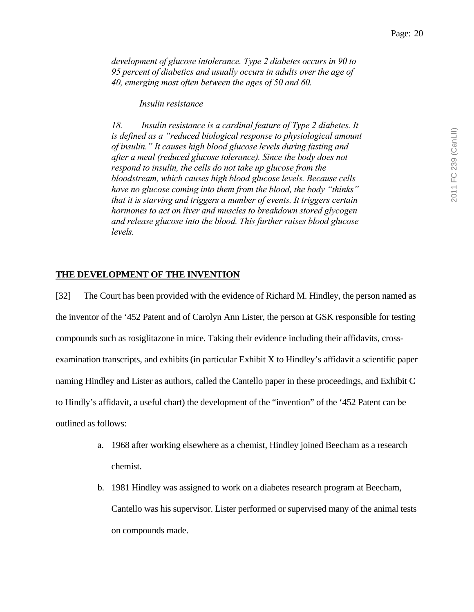*development of glucose intolerance. Type 2 diabetes occurs in 90 to 95 percent of diabetics and usually occurs in adults over the age of 40, emerging most often between the ages of 50 and 60.* 

*Insulin resistance* 

*18. Insulin resistance is a cardinal feature of Type 2 diabetes. It*  is defined as a "reduced biological response to physiological amount *of insulin.î It causes high blood glucose levels during fasting and after a meal (reduced glucose tolerance). Since the body does not respond to insulin, the cells do not take up glucose from the bloodstream, which causes high blood glucose levels. Because cells have no glucose coming into them from the blood, the body "thinks" that it is starving and triggers a number of events. It triggers certain hormones to act on liver and muscles to breakdown stored glycogen and release glucose into the blood. This further raises blood glucose levels.* 

## **THE DEVELOPMENT OF THE INVENTION**

[32] The Court has been provided with the evidence of Richard M. Hindley, the person named as the inventor of the '452 Patent and of Carolyn Ann Lister, the person at GSK responsible for testing compounds such as rosiglitazone in mice. Taking their evidence including their affidavits, crossexamination transcripts, and exhibits (in particular Exhibit X to Hindley's affidavit a scientific paper naming Hindley and Lister as authors, called the Cantello paper in these proceedings, and Exhibit C to Hindly's affidavit, a useful chart) the development of the "invention" of the '452 Patent can be outlined as follows:

- a. 1968 after working elsewhere as a chemist, Hindley joined Beecham as a research chemist.
- b. 1981 Hindley was assigned to work on a diabetes research program at Beecham, Cantello was his supervisor. Lister performed or supervised many of the animal tests on compounds made.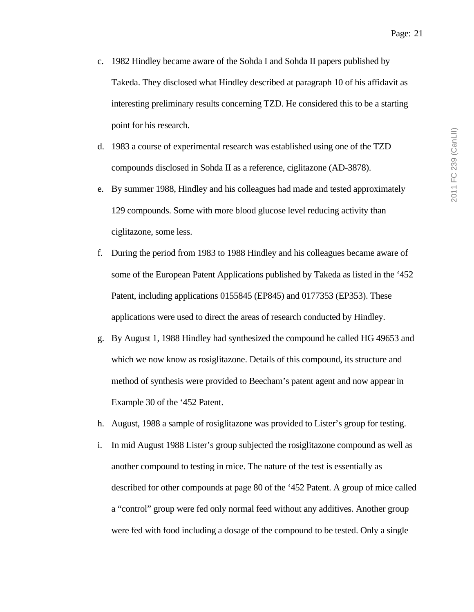- c. 1982 Hindley became aware of the Sohda I and Sohda II papers published by Takeda. They disclosed what Hindley described at paragraph 10 of his affidavit as interesting preliminary results concerning TZD. He considered this to be a starting point for his research.
- d. 1983 a course of experimental research was established using one of the TZD compounds disclosed in Sohda II as a reference, ciglitazone (AD-3878).
- e. By summer 1988, Hindley and his colleagues had made and tested approximately 129 compounds. Some with more blood glucose level reducing activity than ciglitazone, some less.
- f. During the period from 1983 to 1988 Hindley and his colleagues became aware of some of the European Patent Applications published by Takeda as listed in the '452 Patent, including applications 0155845 (EP845) and 0177353 (EP353). These applications were used to direct the areas of research conducted by Hindley.
- g. By August 1, 1988 Hindley had synthesized the compound he called HG 49653 and which we now know as rosiglitazone. Details of this compound, its structure and method of synthesis were provided to Beecham's patent agent and now appear in Example 30 of the '452 Patent.
- h. August, 1988 a sample of rosiglitazone was provided to Lister's group for testing.
- i. In mid August 1988 Lister's group subjected the rosiglitazone compound as well as another compound to testing in mice. The nature of the test is essentially as described for other compounds at page 80 of the '452 Patent. A group of mice called a "control" group were fed only normal feed without any additives. Another group were fed with food including a dosage of the compound to be tested. Only a single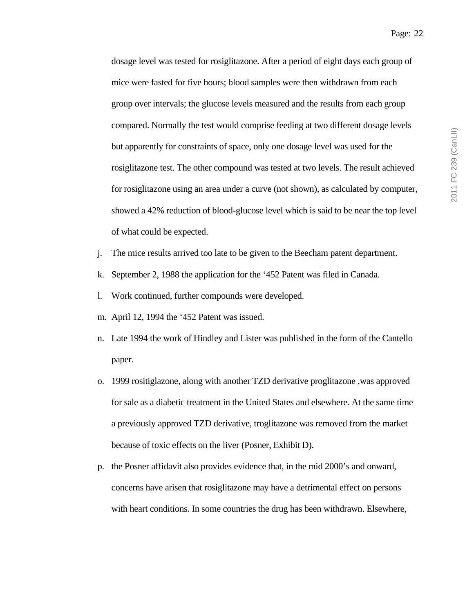dosage level was tested for rosiglitazone. After a period of eight days each group of mice were fasted for five hours; blood samples were then withdrawn from each group over intervals; the glucose levels measured and the results from each group compared. Normally the test would comprise feeding at two different dosage levels but apparently for constraints of space, only one dosage level was used for the rosiglitazone test. The other compound was tested at two levels. The result achieved for rosiglitazone using an area under a curve (not shown), as calculated by computer, showed a 42% reduction of blood-glucose level which is said to be near the top level of what could be expected.

- j. The mice results arrived too late to be given to the Beecham patent department.
- k. September 2, 1988 the application for the '452 Patent was filed in Canada.
- l. Work continued, further compounds were developed.
- m. April 12, 1994 the '452 Patent was issued.
- n. Late 1994 the work of Hindley and Lister was published in the form of the Cantello paper.
- o. 1999 rositiglazone, along with another TZD derivative proglitazone ,was approved for sale as a diabetic treatment in the United States and elsewhere. At the same time a previously approved TZD derivative, troglitazone was removed from the market because of toxic effects on the liver (Posner, Exhibit D).
- p. the Posner affidavit also provides evidence that, in the mid 2000's and onward, concerns have arisen that rosiglitazone may have a detrimental effect on persons with heart conditions. In some countries the drug has been withdrawn. Elsewhere,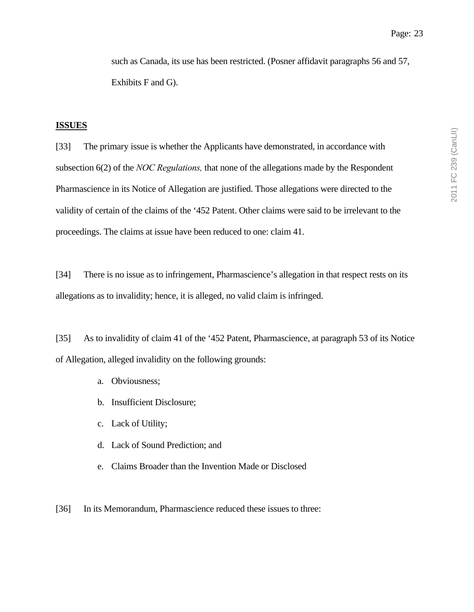such as Canada, its use has been restricted. (Posner affidavit paragraphs 56 and 57, Exhibits F and G).

#### **ISSUES**

[33] The primary issue is whether the Applicants have demonstrated, in accordance with subsection 6(2) of the *NOC Regulations,* that none of the allegations made by the Respondent Pharmascience in its Notice of Allegation are justified. Those allegations were directed to the validity of certain of the claims of the '452 Patent. Other claims were said to be irrelevant to the proceedings. The claims at issue have been reduced to one: claim 41.

[34] There is no issue as to infringement, Pharmascience's allegation in that respect rests on its allegations as to invalidity; hence, it is alleged, no valid claim is infringed.

[35] As to invalidity of claim 41 of the '452 Patent, Pharmascience, at paragraph 53 of its Notice of Allegation, alleged invalidity on the following grounds:

- a. Obviousness;
- b. Insufficient Disclosure;
- c. Lack of Utility;
- d. Lack of Sound Prediction; and
- e. Claims Broader than the Invention Made or Disclosed
- [36] In its Memorandum, Pharmascience reduced these issues to three: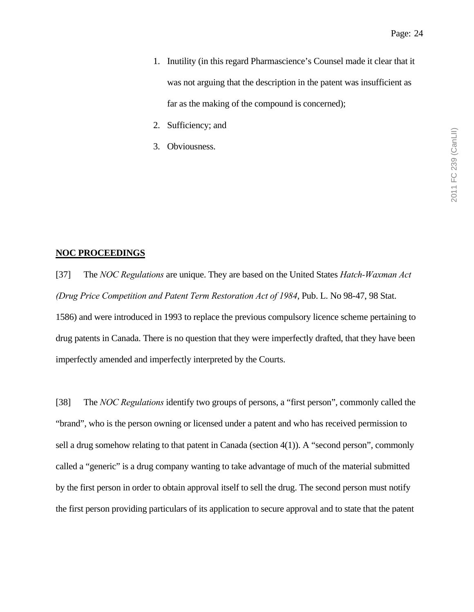- 1. Inutility (in this regard Pharmascience's Counsel made it clear that it was not arguing that the description in the patent was insufficient as far as the making of the compound is concerned);
- 2. Sufficiency; and
- 3. Obviousness.

#### **NOC PROCEEDINGS**

[37] The *NOC Regulations* are unique. They are based on the United States *Hatch-Waxman Act (Drug Price Competition and Patent Term Restoration Act of 1984*, Pub. L. No 98-47, 98 Stat. 1586) and were introduced in 1993 to replace the previous compulsory licence scheme pertaining to drug patents in Canada. There is no question that they were imperfectly drafted, that they have been imperfectly amended and imperfectly interpreted by the Courts.

[38] The *NOC Regulations* identify two groups of persons, a "first person", commonly called the "brand", who is the person owning or licensed under a patent and who has received permission to sell a drug somehow relating to that patent in Canada (section 4(1)). A "second person", commonly called a "generic" is a drug company wanting to take advantage of much of the material submitted by the first person in order to obtain approval itself to sell the drug. The second person must notify the first person providing particulars of its application to secure approval and to state that the patent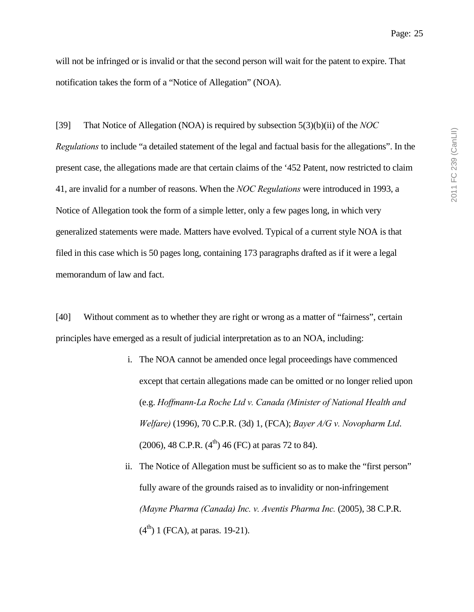will not be infringed or is invalid or that the second person will wait for the patent to expire. That notification takes the form of a "Notice of Allegation" (NOA).

[39] That Notice of Allegation (NOA) is required by subsection 5(3)(b)(ii) of the *NOC Regulations* to include "a detailed statement of the legal and factual basis for the allegations". In the present case, the allegations made are that certain claims of the '452 Patent, now restricted to claim 41, are invalid for a number of reasons. When the *NOC Regulations* were introduced in 1993, a Notice of Allegation took the form of a simple letter, only a few pages long, in which very generalized statements were made. Matters have evolved. Typical of a current style NOA is that filed in this case which is 50 pages long, containing 173 paragraphs drafted as if it were a legal memorandum of law and fact.

[40] Without comment as to whether they are right or wrong as a matter of "fairness", certain principles have emerged as a result of judicial interpretation as to an NOA, including:

- i. The NOA cannot be amended once legal proceedings have commenced except that certain allegations made can be omitted or no longer relied upon (e.g. *Hoffmann-La Roche Ltd v. Canada (Minister of National Health and Welfare)* (1996), 70 C.P.R. (3d) 1, (FCA); *Bayer A/G v. Novopharm Ltd*.  $(2006)$ , 48 C.P.R.  $(4<sup>th</sup>)$  46 (FC) at paras 72 to 84).
- ii. The Notice of Allegation must be sufficient so as to make the "first person" fully aware of the grounds raised as to invalidity or non-infringement *(Mayne Pharma (Canada) Inc. v. Aventis Pharma Inc.* (2005), 38 C.P.R.  $(4<sup>th</sup>)$  1 (FCA), at paras. 19-21).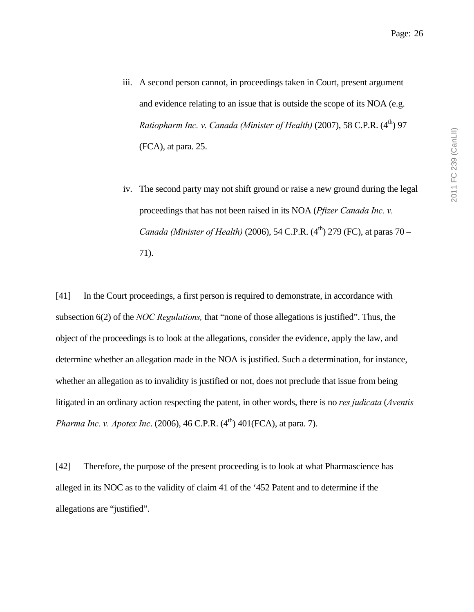- iii. A second person cannot, in proceedings taken in Court, present argument and evidence relating to an issue that is outside the scope of its NOA (e.g. *Ratiopharm Inc. v. Canada (Minister of Health)* (2007), 58 C.P.R. (4<sup>th</sup>) 97 (FCA), at para. 25.
- iv. The second party may not shift ground or raise a new ground during the legal proceedings that has not been raised in its NOA (*Pfizer Canada Inc. v. Canada (Minister of Health)* (2006), 54 C.P.R.  $(4<sup>th</sup>)$  279 (FC), at paras 70 – 71).

[41] In the Court proceedings, a first person is required to demonstrate, in accordance with subsection 6(2) of the *NOC Regulations,* that "none of those allegations is justified". Thus, the object of the proceedings is to look at the allegations, consider the evidence, apply the law, and determine whether an allegation made in the NOA is justified. Such a determination, for instance, whether an allegation as to invalidity is justified or not, does not preclude that issue from being litigated in an ordinary action respecting the patent, in other words, there is no *res judicata* (*Aventis Pharma Inc. v. Apotex Inc.* (2006), 46 C.P.R. (4<sup>th</sup>) 401(FCA), at para. 7).

[42] Therefore, the purpose of the present proceeding is to look at what Pharmascience has alleged in its NOC as to the validity of claim 41 of the '452 Patent and to determine if the allegations are "justified".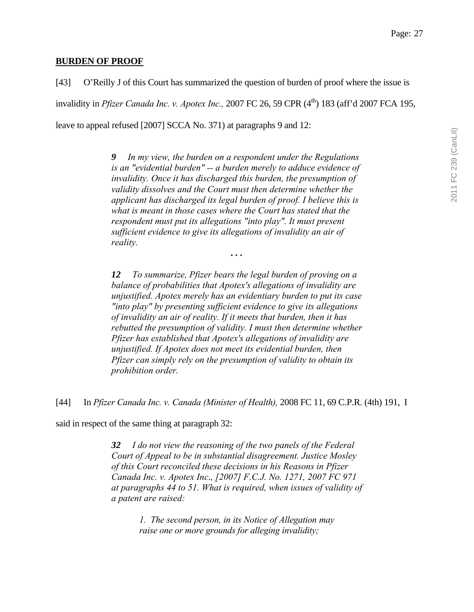## **BURDEN OF PROOF**

[43] O'Reilly J of this Court has summarized the question of burden of proof where the issue is invalidity in *Pfizer Canada Inc. v. Apotex Inc.,* 2007 FC 26, 59 CPR (4<sup>th</sup>) 183 (aff'd 2007 FCA 195, leave to appeal refused [2007] SCCA No. 371) at paragraphs 9 and 12:

> *9 In my view, the burden on a respondent under the Regulations is an "evidential burden" -- a burden merely to adduce evidence of invalidity. Once it has discharged this burden, the presumption of validity dissolves and the Court must then determine whether the applicant has discharged its legal burden of proof. I believe this is what is meant in those cases where the Court has stated that the respondent must put its allegations "into play". It must present sufficient evidence to give its allegations of invalidity an air of reality.*

> > *. . .*

*12 To summarize, Pfizer bears the legal burden of proving on a balance of probabilities that Apotex's allegations of invalidity are unjustified. Apotex merely has an evidentiary burden to put its case "into play" by presenting sufficient evidence to give its allegations of invalidity an air of reality. If it meets that burden, then it has rebutted the presumption of validity. I must then determine whether Pfizer has established that Apotex's allegations of invalidity are unjustified. If Apotex does not meet its evidential burden, then Pfizer can simply rely on the presumption of validity to obtain its prohibition order.* 

[44] In *Pfizer Canada Inc. v. Canada (Minister of Health),* 2008 FC 11, 69 C.P.R. (4th) 191, I

said in respect of the same thing at paragraph 32:

*32 I do not view the reasoning of the two panels of the Federal Court of Appeal to be in substantial disagreement. Justice Mosley of this Court reconciled these decisions in his Reasons in Pfizer Canada Inc. v. Apotex Inc*.*, [2007] F.C.J. No. 1271, 2007 FC 971 at paragraphs 44 to 51. What is required, when issues of validity of a patent are raised:* 

> *1. The second person, in its Notice of Allegation may raise one or more grounds for alleging invalidity;*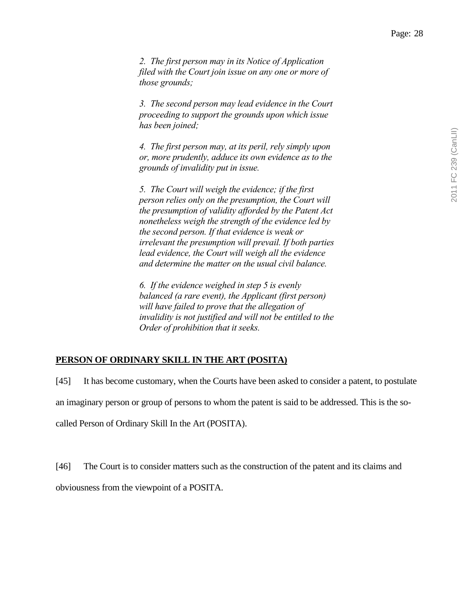*2. The first person may in its Notice of Application filed with the Court join issue on any one or more of those grounds;* 

*3. The second person may lead evidence in the Court proceeding to support the grounds upon which issue has been joined;* 

*4. The first person may, at its peril, rely simply upon or, more prudently, adduce its own evidence as to the grounds of invalidity put in issue.* 

*5. The Court will weigh the evidence; if the first person relies only on the presumption, the Court will the presumption of validity afforded by the Patent Act nonetheless weigh the strength of the evidence led by the second person. If that evidence is weak or irrelevant the presumption will prevail. If both parties lead evidence, the Court will weigh all the evidence and determine the matter on the usual civil balance.* 

*6. If the evidence weighed in step 5 is evenly balanced (a rare event), the Applicant (first person) will have failed to prove that the allegation of invalidity is not justified and will not be entitled to the Order of prohibition that it seeks.* 

# **PERSON OF ORDINARY SKILL IN THE ART (POSITA)**

[45] It has become customary, when the Courts have been asked to consider a patent, to postulate an imaginary person or group of persons to whom the patent is said to be addressed. This is the socalled Person of Ordinary Skill In the Art (POSITA).

[46] The Court is to consider matters such as the construction of the patent and its claims and obviousness from the viewpoint of a POSITA.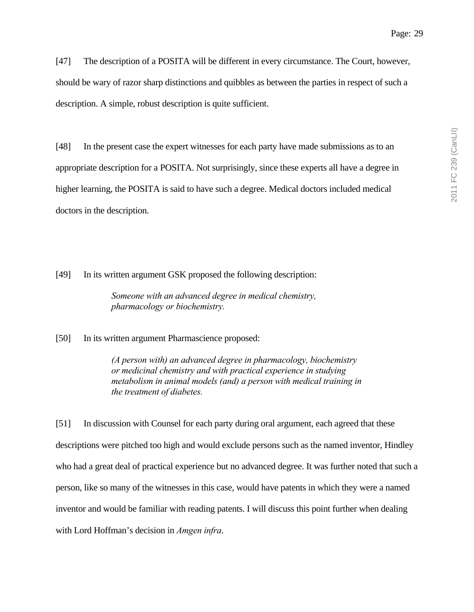[47] The description of a POSITA will be different in every circumstance. The Court, however, should be wary of razor sharp distinctions and quibbles as between the parties in respect of such a description. A simple, robust description is quite sufficient.

[48] In the present case the expert witnesses for each party have made submissions as to an appropriate description for a POSITA. Not surprisingly, since these experts all have a degree in higher learning, the POSITA is said to have such a degree. Medical doctors included medical doctors in the description.

[49] In its written argument GSK proposed the following description:

*Someone with an advanced degree in medical chemistry, pharmacology or biochemistry.* 

[50] In its written argument Pharmascience proposed:

*(A person with) an advanced degree in pharmacology, biochemistry or medicinal chemistry and with practical experience in studying metabolism in animal models (and) a person with medical training in the treatment of diabetes.* 

[51] In discussion with Counsel for each party during oral argument, each agreed that these descriptions were pitched too high and would exclude persons such as the named inventor, Hindley who had a great deal of practical experience but no advanced degree. It was further noted that such a person, like so many of the witnesses in this case, would have patents in which they were a named inventor and would be familiar with reading patents. I will discuss this point further when dealing with Lord Hoffman's decision in *Amgen infra*.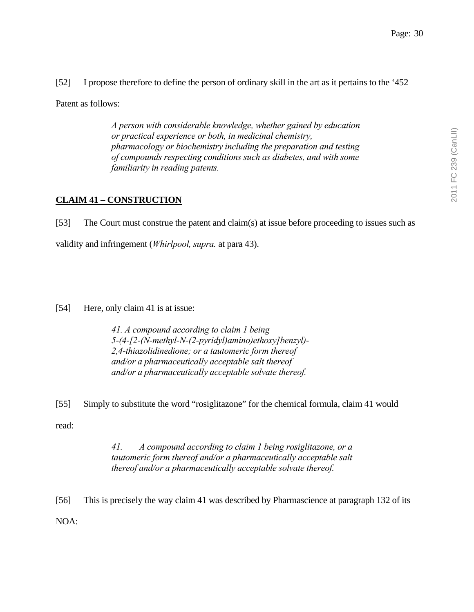[52] I propose therefore to define the person of ordinary skill in the art as it pertains to the '452

Patent as follows:

*A person with considerable knowledge, whether gained by education or practical experience or both, in medicinal chemistry, pharmacology or biochemistry including the preparation and testing of compounds respecting conditions such as diabetes, and with some familiarity in reading patents.* 

# **CLAIM 41 – CONSTRUCTION**

[53] The Court must construe the patent and claim(s) at issue before proceeding to issues such as validity and infringement (*Whirlpool, supra.* at para 43).

[54] Here, only claim 41 is at issue:

*41. A compound according to claim 1 being 5-(4-[2-(N-methyl-N-(2-pyridyl)amino)ethoxy]benzyl)- 2,4-thiazolidinedione; or a tautomeric form thereof and/or a pharmaceutically acceptable salt thereof and/or a pharmaceutically acceptable solvate thereof.* 

[55] Simply to substitute the word "rosiglitazone" for the chemical formula, claim 41 would

read:

*41. A compound according to claim 1 being rosiglitazone, or a tautomeric form thereof and/or a pharmaceutically acceptable salt thereof and/or a pharmaceutically acceptable solvate thereof.* 

[56] This is precisely the way claim 41 was described by Pharmascience at paragraph 132 of its NOA: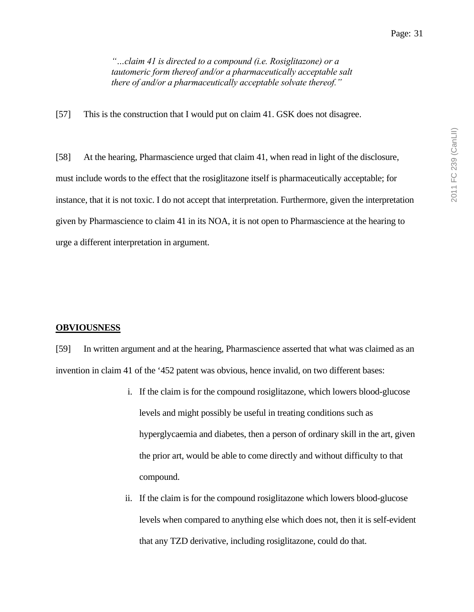*ìÖclaim 41 is directed to a compound (i.e. Rosiglitazone) or a tautomeric form thereof and/or a pharmaceutically acceptable salt there of and/or a pharmaceutically acceptable solvate thereof.*"

[57] This is the construction that I would put on claim 41. GSK does not disagree.

[58] At the hearing, Pharmascience urged that claim 41, when read in light of the disclosure, must include words to the effect that the rosiglitazone itself is pharmaceutically acceptable; for instance, that it is not toxic. I do not accept that interpretation. Furthermore, given the interpretation given by Pharmascience to claim 41 in its NOA, it is not open to Pharmascience at the hearing to urge a different interpretation in argument.

#### **OBVIOUSNESS**

[59] In written argument and at the hearing, Pharmascience asserted that what was claimed as an invention in claim 41 of the '452 patent was obvious, hence invalid, on two different bases:

- i. If the claim is for the compound rosiglitazone, which lowers blood-glucose levels and might possibly be useful in treating conditions such as hyperglycaemia and diabetes, then a person of ordinary skill in the art, given the prior art, would be able to come directly and without difficulty to that compound.
- ii. If the claim is for the compound rosiglitazone which lowers blood-glucose levels when compared to anything else which does not, then it is self-evident that any TZD derivative, including rosiglitazone, could do that.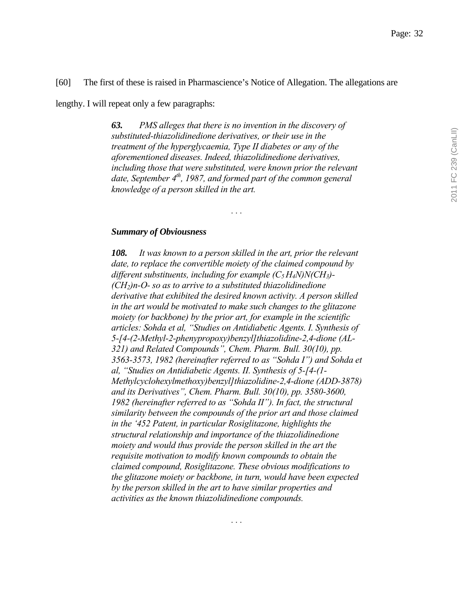### [60] The first of these is raised in Pharmascience's Notice of Allegation. The allegations are

lengthy. I will repeat only a few paragraphs:

*63. PMS alleges that there is no invention in the discovery of substituted-thiazolidinedione derivatives, or their use in the treatment of the hyperglycaemia, Type II diabetes or any of the aforementioned diseases. Indeed, thiazolidinedione derivatives, including those that were substituted, were known prior the relevant*  date, September 4<sup>th</sup>, 1987, and formed part of the common general *knowledge of a person skilled in the art.* 

*. . .* 

#### *Summary of Obviousness*

*108. It was known to a person skilled in the art, prior the relevant date, to replace the convertible moiety of the claimed compound by different substituents, including for example (C5 H4N)N(CH3)- (CH2)n-O- so as to arrive to a substituted thiazolidinedione derivative that exhibited the desired known activity. A person skilled in the art would be motivated to make such changes to the glitazone moiety (or backbone) by the prior art, for example in the scientific articles: Sohda et al, "Studies on Antidiabetic Agents. I. Synthesis of 5-[4-(2-Methyl-2-phenypropoxy)benzyl]thiazolidine-2,4-dione (AL-321) and Related Compounds*", Chem. Pharm. Bull. 30(10), pp. *3563-3573, 1982 (hereinafter referred to as "Sohda I") and Sohda et al, "Studies on Antidiabetic Agents. II. Synthesis of 5-[4-(1-Methylcyclohexylmethoxy)benzyl]thiazolidine-2,4-dione (ADD-3878) and its Derivativesî, Chem. Pharm. Bull. 30(10), pp. 3580-3600, 1982 (hereinafter referred to as "Sohda II"). In fact, the structural similarity between the compounds of the prior art and those claimed in the ë452 Patent, in particular Rosiglitazone, highlights the structural relationship and importance of the thiazolidinedione moiety and would thus provide the person skilled in the art the requisite motivation to modify known compounds to obtain the claimed compound, Rosiglitazone. These obvious modifications to the glitazone moiety or backbone, in turn, would have been expected by the person skilled in the art to have similar properties and activities as the known thiazolidinedione compounds.* 

*. . .*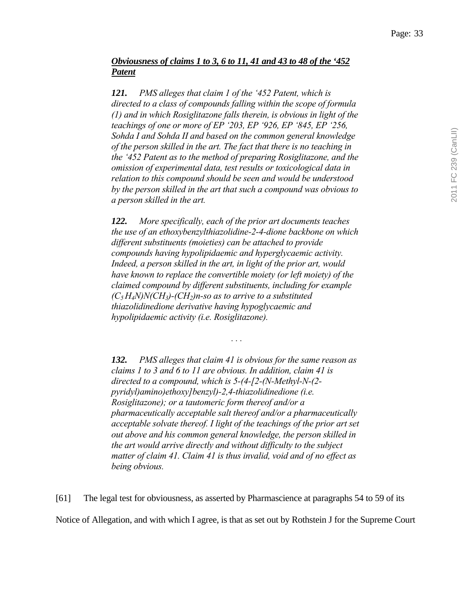# *Obviousness of claims 1 to 3, 6 to 11, 41 and 43 to 48 of the '452 Patent*

121. *PMS alleges that claim 1 of the '452 Patent, which is directed to a class of compounds falling within the scope of formula (1) and in which Rosiglitazone falls therein, is obvious in light of the teachings of one or more of EP ë203, EP ë926, EP ë845, EP ë256, Sohda I and Sohda II and based on the common general knowledge of the person skilled in the art. The fact that there is no teaching in the ë452 Patent as to the method of preparing Rosiglitazone, and the omission of experimental data, test results or toxicological data in relation to this compound should be seen and would be understood by the person skilled in the art that such a compound was obvious to a person skilled in the art.* 

*122. More specifically, each of the prior art documents teaches the use of an ethoxybenzylthiazolidine-2-4-dione backbone on which different substituents (moieties) can be attached to provide compounds having hypolipidaemic and hyperglycaemic activity. Indeed, a person skilled in the art, in light of the prior art, would have known to replace the convertible moiety (or left moiety) of the claimed compound by different substituents, including for example*   $(C_5H_4N)N(CH_3)$ - $(CH_2)$ n-so as to arrive to a substituted *thiazolidinedione derivative having hypoglycaemic and hypolipidaemic activity (i.e. Rosiglitazone).* 

*. . .* 

*132. PMS alleges that claim 41 is obvious for the same reason as claims 1 to 3 and 6 to 11 are obvious. In addition, claim 41 is directed to a compound, which is 5-(4-[2-(N-Methyl-N-(2 pyridyl)amino)ethoxy]benzyl)-2,4-thiazolidinedione (i.e. Rosiglitazone); or a tautomeric form thereof and/or a pharmaceutically acceptable salt thereof and/or a pharmaceutically acceptable solvate thereof. I light of the teachings of the prior art set out above and his common general knowledge, the person skilled in the art would arrive directly and without difficulty to the subject matter of claim 41. Claim 41 is thus invalid, void and of no effect as being obvious.* 

[61] The legal test for obviousness, as asserted by Pharmascience at paragraphs 54 to 59 of its

Notice of Allegation, and with which I agree, is that as set out by Rothstein J for the Supreme Court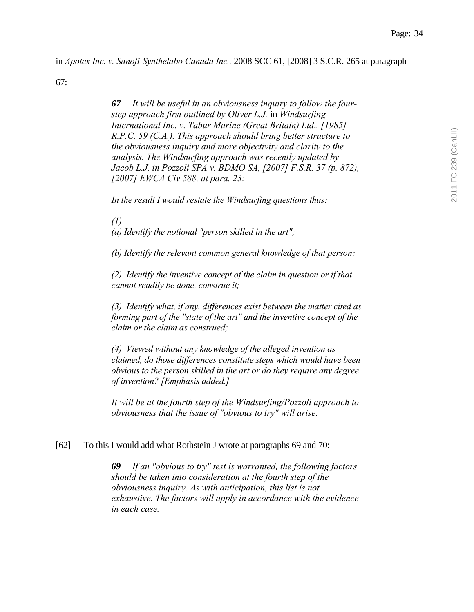2011 FC 239 (CanLII) 2011 FC 239 (CanLII)

in *Apotex Inc. v. Sanofi-Synthelabo Canada Inc.,* 2008 SCC 61, [2008] 3 S.C.R. 265 at paragraph

67:

*67 It will be useful in an obviousness inquiry to follow the fourstep approach first outlined by Oliver L.J.* in *Windsurfing International Inc. v. Tabur Marine (Great Britain) Ltd*.*, [1985] R.P.C. 59 (C.A.). This approach should bring better structure to the obviousness inquiry and more objectivity and clarity to the analysis. The Windsurfing approach was recently updated by Jacob L.J. in Pozzoli SPA v. BDMO SA, [2007] F.S.R. 37 (p. 872), [2007] EWCA Civ 588, at para. 23:* 

*In the result I would restate the Windsurfing questions thus:* 

*(1)* 

*(a) Identify the notional "person skilled in the art";* 

*(b) Identify the relevant common general knowledge of that person;* 

*(2) Identify the inventive concept of the claim in question or if that cannot readily be done, construe it;* 

*(3) Identify what, if any, differences exist between the matter cited as forming part of the "state of the art" and the inventive concept of the claim or the claim as construed;* 

*(4) Viewed without any knowledge of the alleged invention as claimed, do those differences constitute steps which would have been obvious to the person skilled in the art or do they require any degree of invention? [Emphasis added.]* 

*It will be at the fourth step of the Windsurfing/Pozzoli approach to obviousness that the issue of "obvious to try" will arise.* 

[62] To this I would add what Rothstein J wrote at paragraphs 69 and 70:

*69 If an "obvious to try" test is warranted, the following factors should be taken into consideration at the fourth step of the obviousness inquiry. As with anticipation, this list is not exhaustive. The factors will apply in accordance with the evidence in each case.*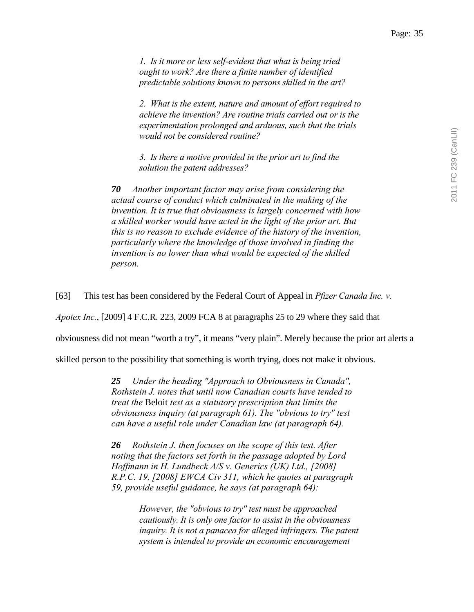*1. Is it more or less self-evident that what is being tried ought to work? Are there a finite number of identified predictable solutions known to persons skilled in the art?* 

*2. What is the extent, nature and amount of effort required to achieve the invention? Are routine trials carried out or is the experimentation prolonged and arduous, such that the trials would not be considered routine?* 

*3. Is there a motive provided in the prior art to find the solution the patent addresses?* 

*70 Another important factor may arise from considering the actual course of conduct which culminated in the making of the invention. It is true that obviousness is largely concerned with how a skilled worker would have acted in the light of the prior art. But this is no reason to exclude evidence of the history of the invention, particularly where the knowledge of those involved in finding the invention is no lower than what would be expected of the skilled person.* 

[63] This test has been considered by the Federal Court of Appeal in *Pfizer Canada Inc. v.* 

*Apotex Inc.*, [2009] 4 F.C.R. 223, 2009 FCA 8 at paragraphs 25 to 29 where they said that

obviousness did not mean "worth a try", it means "very plain". Merely because the prior art alerts a

skilled person to the possibility that something is worth trying, does not make it obvious.

*25 Under the heading "Approach to Obviousness in Canada", Rothstein J. notes that until now Canadian courts have tended to treat the* Beloit *test as a statutory prescription that limits the obviousness inquiry (at paragraph 61). The "obvious to try" test can have a useful role under Canadian law (at paragraph 64).* 

*26 Rothstein J. then focuses on the scope of this test. After noting that the factors set forth in the passage adopted by Lord Hoffmann in H. Lundbeck A/S v. Generics (UK) Ltd., [2008] R.P.C. 19, [2008] EWCA Civ 311, which he quotes at paragraph 59, provide useful guidance, he says (at paragraph 64):* 

> *However, the "obvious to try" test must be approached cautiously. It is only one factor to assist in the obviousness inquiry. It is not a panacea for alleged infringers. The patent system is intended to provide an economic encouragement*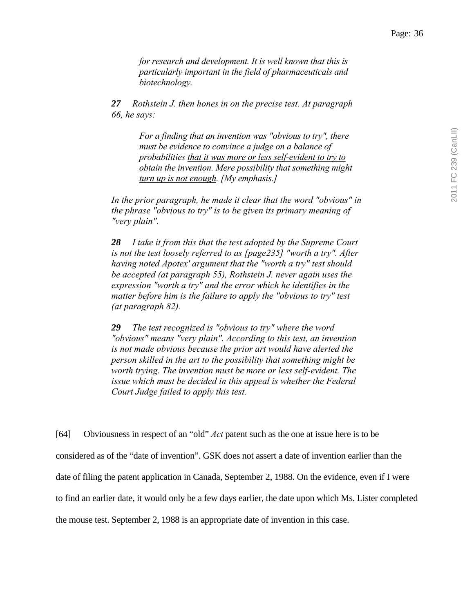*for research and development. It is well known that this is particularly important in the field of pharmaceuticals and biotechnology.* 

*27 Rothstein J. then hones in on the precise test. At paragraph 66, he says:* 

> *For a finding that an invention was "obvious to try", there must be evidence to convince a judge on a balance of probabilities that it was more or less self-evident to try to obtain the invention. Mere possibility that something might turn up is not enough. [My emphasis.]*

*In the prior paragraph, he made it clear that the word "obvious" in the phrase "obvious to try" is to be given its primary meaning of "very plain".* 

*28 I take it from this that the test adopted by the Supreme Court is not the test loosely referred to as [page235] "worth a try". After having noted Apotex' argument that the "worth a try" test should be accepted (at paragraph 55), Rothstein J. never again uses the expression "worth a try" and the error which he identifies in the matter before him is the failure to apply the "obvious to try" test (at paragraph 82).* 

*29 The test recognized is "obvious to try" where the word "obvious" means "very plain". According to this test, an invention is not made obvious because the prior art would have alerted the person skilled in the art to the possibility that something might be worth trying. The invention must be more or less self-evident. The issue which must be decided in this appeal is whether the Federal Court Judge failed to apply this test.* 

[64] Obviousness in respect of an "old" *Act* patent such as the one at issue here is to be considered as of the "date of invention". GSK does not assert a date of invention earlier than the date of filing the patent application in Canada, September 2, 1988. On the evidence, even if I were to find an earlier date, it would only be a few days earlier, the date upon which Ms. Lister completed the mouse test. September 2, 1988 is an appropriate date of invention in this case.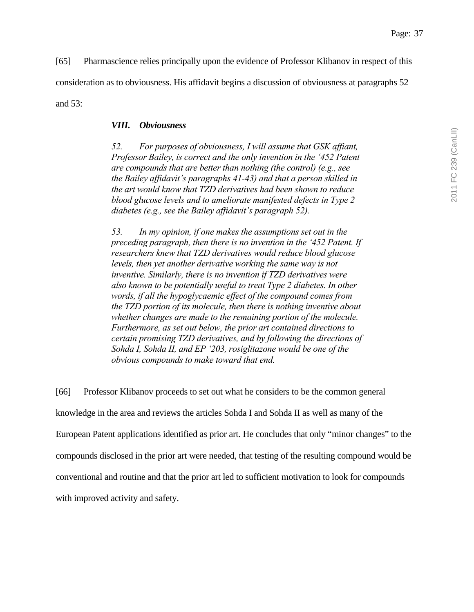[65] Pharmascience relies principally upon the evidence of Professor Klibanov in respect of this consideration as to obviousness. His affidavit begins a discussion of obviousness at paragraphs 52 and 53:

## *VIII. Obviousness*

*52. For purposes of obviousness, I will assume that GSK affiant, Professor Bailey, is correct and the only invention in the '452 Patent are compounds that are better than nothing (the control) (e.g., see the Bailey affidavit's paragraphs 41-43) and that a person skilled in the art would know that TZD derivatives had been shown to reduce blood glucose levels and to ameliorate manifested defects in Type 2 diabetes (e.g., see the Bailey affidavit's paragraph 52).* 

*53. In my opinion, if one makes the assumptions set out in the preceding paragraph, then there is no invention in the ë452 Patent. If researchers knew that TZD derivatives would reduce blood glucose levels, then yet another derivative working the same way is not inventive. Similarly, there is no invention if TZD derivatives were also known to be potentially useful to treat Type 2 diabetes. In other words, if all the hypoglycaemic effect of the compound comes from the TZD portion of its molecule, then there is nothing inventive about whether changes are made to the remaining portion of the molecule. Furthermore, as set out below, the prior art contained directions to certain promising TZD derivatives, and by following the directions of Sohda I, Sohda II, and EP '203, rosiglitazone would be one of the obvious compounds to make toward that end.* 

[66] Professor Klibanov proceeds to set out what he considers to be the common general

knowledge in the area and reviews the articles Sohda I and Sohda II as well as many of the

European Patent applications identified as prior art. He concludes that only "minor changes" to the compounds disclosed in the prior art were needed, that testing of the resulting compound would be conventional and routine and that the prior art led to sufficient motivation to look for compounds with improved activity and safety.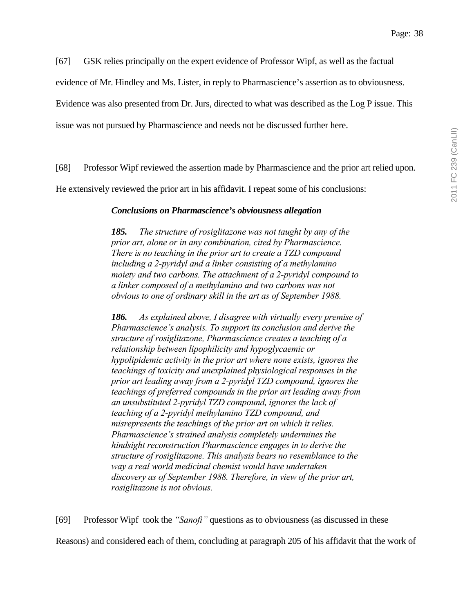[67] GSK relies principally on the expert evidence of Professor Wipf, as well as the factual

evidence of Mr. Hindley and Ms. Lister, in reply to Pharmascience's assertion as to obviousness.

Evidence was also presented from Dr. Jurs, directed to what was described as the Log P issue. This

issue was not pursued by Pharmascience and needs not be discussed further here.

[68] Professor Wipf reviewed the assertion made by Pharmascience and the prior art relied upon.

He extensively reviewed the prior art in his affidavit. I repeat some of his conclusions:

#### *Conclusions on Pharmascience's obviousness allegation*

*185. The structure of rosiglitazone was not taught by any of the prior art, alone or in any combination, cited by Pharmascience. There is no teaching in the prior art to create a TZD compound including a 2-pyridyl and a linker consisting of a methylamino moiety and two carbons. The attachment of a 2-pyridyl compound to a linker composed of a methylamino and two carbons was not obvious to one of ordinary skill in the art as of September 1988.* 

*186. As explained above, I disagree with virtually every premise of Pharmascience's analysis. To support its conclusion and derive the structure of rosiglitazone, Pharmascience creates a teaching of a relationship between lipophilicity and hypoglycaemic or hypolipidemic activity in the prior art where none exists, ignores the teachings of toxicity and unexplained physiological responses in the prior art leading away from a 2-pyridyl TZD compound, ignores the teachings of preferred compounds in the prior art leading away from an unsubstituted 2-pyridyl TZD compound, ignores the lack of teaching of a 2-pyridyl methylamino TZD compound, and misrepresents the teachings of the prior art on which it relies. Pharmascience's strained analysis completely undermines the hindsight reconstruction Pharmascience engages in to derive the structure of rosiglitazone. This analysis bears no resemblance to the way a real world medicinal chemist would have undertaken discovery as of September 1988. Therefore, in view of the prior art, rosiglitazone is not obvious.* 

[69] Professor Wipf took the *"Sanofi*" questions as to obviousness (as discussed in these

Reasons) and considered each of them, concluding at paragraph 205 of his affidavit that the work of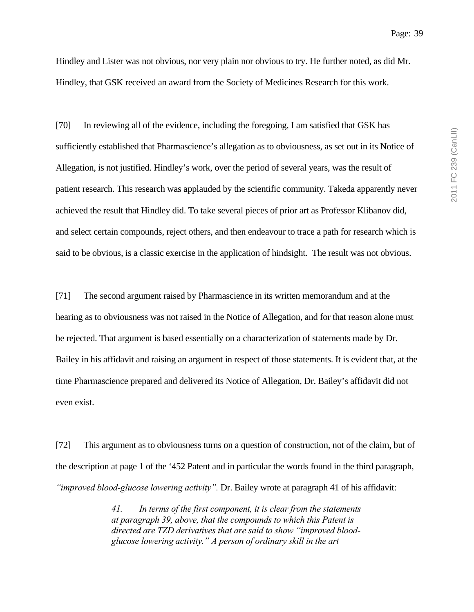Hindley and Lister was not obvious, nor very plain nor obvious to try. He further noted, as did Mr. Hindley, that GSK received an award from the Society of Medicines Research for this work.

[70] In reviewing all of the evidence, including the foregoing, I am satisfied that GSK has sufficiently established that Pharmascience's allegation as to obviousness, as set out in its Notice of Allegation, is not justified. Hindley's work, over the period of several years, was the result of patient research. This research was applauded by the scientific community. Takeda apparently never achieved the result that Hindley did. To take several pieces of prior art as Professor Klibanov did, and select certain compounds, reject others, and then endeavour to trace a path for research which is said to be obvious, is a classic exercise in the application of hindsight. The result was not obvious.

[71] The second argument raised by Pharmascience in its written memorandum and at the hearing as to obviousness was not raised in the Notice of Allegation, and for that reason alone must be rejected. That argument is based essentially on a characterization of statements made by Dr. Bailey in his affidavit and raising an argument in respect of those statements. It is evident that, at the time Pharmascience prepared and delivered its Notice of Allegation, Dr. Bailey's affidavit did not even exist.

[72] This argument as to obviousness turns on a question of construction, not of the claim, but of the description at page 1 of the '452 Patent and in particular the words found in the third paragraph, *ìimproved blood-glucose lowering activityî.* Dr. Bailey wrote at paragraph 41 of his affidavit:

> *41. In terms of the first component, it is clear from the statements at paragraph 39, above, that the compounds to which this Patent is*  directed are TZD derivatives that are said to show "improved blood*glucose lowering activity.î A person of ordinary skill in the art*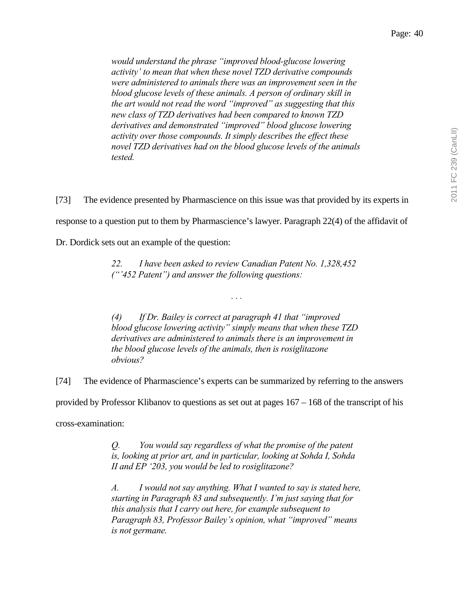*would understand the phrase "improved blood-glucose lowering* activity' to mean that when these novel TZD derivative compounds *were administered to animals there was an improvement seen in the blood glucose levels of these animals. A person of ordinary skill in the art would not read the word "improved" as suggesting that this new class of TZD derivatives had been compared to known TZD*  derivatives and demonstrated "improved" blood glucose lowering *activity over those compounds. It simply describes the effect these novel TZD derivatives had on the blood glucose levels of the animals tested.* 

[73] The evidence presented by Pharmascience on this issue was that provided by its experts in response to a question put to them by Pharmascience's lawyer. Paragraph 22(4) of the affidavit of Dr. Dordick sets out an example of the question:

> *22. I have been asked to review Canadian Patent No. 1,328,452 ("'452 Patent") and answer the following questions:*

> > *. . .*

*(4) If Dr. Bailey is correct at paragraph 41 that "improved blood glucose lowering activity*" *simply means that when these TZD derivatives are administered to animals there is an improvement in the blood glucose levels of the animals, then is rosiglitazone obvious?* 

[74] The evidence of Pharmascience's experts can be summarized by referring to the answers provided by Professor Klibanov to questions as set out at pages  $167 - 168$  of the transcript of his cross-examination:

> *Q. You would say regardless of what the promise of the patent is, looking at prior art, and in particular, looking at Sohda I, Sohda II and EP ë203, you would be led to rosiglitazone?*

*A. I would not say anything. What I wanted to say is stated here, starting in Paragraph 83 and subsequently. Iím just saying that for this analysis that I carry out here, for example subsequent to Paragraph 83, Professor Bailey's opinion, what "improved" means is not germane.*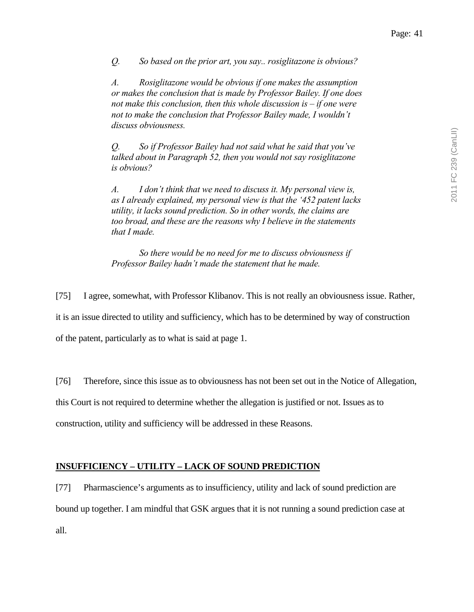*Q. So based on the prior art, you say.. rosiglitazone is obvious?* 

*A. Rosiglitazone would be obvious if one makes the assumption or makes the conclusion that is made by Professor Bailey. If one does not make this conclusion, then this whole discussion is - if one were not to make the conclusion that Professor Bailey made, I wouldn't discuss obviousness.* 

*Q.* So if Professor Bailey had not said what he said that you've *talked about in Paragraph 52, then you would not say rosiglitazone is obvious?* 

*A.* I don't think that we need to discuss it. My personal view is, *as I already explained, my personal view is that the ë452 patent lacks utility, it lacks sound prediction. So in other words, the claims are too broad, and these are the reasons why I believe in the statements that I made.* 

 *So there would be no need for me to discuss obviousness if Professor Bailey hadn't made the statement that he made.* 

[75] I agree, somewhat, with Professor Klibanov. This is not really an obviousness issue. Rather, it is an issue directed to utility and sufficiency, which has to be determined by way of construction of the patent, particularly as to what is said at page 1.

[76] Therefore, since this issue as to obviousness has not been set out in the Notice of Allegation,

this Court is not required to determine whether the allegation is justified or not. Issues as to

construction, utility and sufficiency will be addressed in these Reasons.

# **INSUFFICIENCY – UTILITY – LACK OF SOUND PREDICTION**

[77] Pharmascience's arguments as to insufficiency, utility and lack of sound prediction are bound up together. I am mindful that GSK argues that it is not running a sound prediction case at all.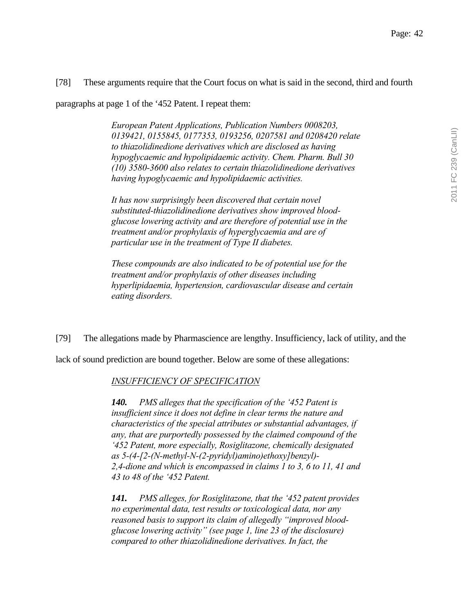## [78] These arguments require that the Court focus on what is said in the second, third and fourth

paragraphs at page 1 of the '452 Patent. I repeat them:

*European Patent Applications, Publication Numbers 0008203, 0139421, 0155845, 0177353, 0193256, 0207581 and 0208420 relate to thiazolidinedione derivatives which are disclosed as having hypoglycaemic and hypolipidaemic activity. Chem. Pharm. Bull 30 (10) 3580-3600 also relates to certain thiazolidinedione derivatives having hypoglycaemic and hypolipidaemic activities.* 

*It has now surprisingly been discovered that certain novel substituted-thiazolidinedione derivatives show improved bloodglucose lowering activity and are therefore of potential use in the treatment and/or prophylaxis of hyperglycaemia and are of particular use in the treatment of Type II diabetes.* 

*These compounds are also indicated to be of potential use for the treatment and/or prophylaxis of other diseases including hyperlipidaemia, hypertension, cardiovascular disease and certain eating disorders.* 

[79] The allegations made by Pharmascience are lengthy. Insufficiency, lack of utility, and the

lack of sound prediction are bound together. Below are some of these allegations:

## *INSUFFICIENCY OF SPECIFICATION*

*140. PMS alleges that the specification of the ë452 Patent is insufficient since it does not define in clear terms the nature and characteristics of the special attributes or substantial advantages, if any, that are purportedly possessed by the claimed compound of the ë452 Patent, more especially, Rosiglitazone, chemically designated as 5-(4-[2-(N-methyl-N-(2-pyridyl)amino)ethoxy]benzyl)- 2,4-dione and which is encompassed in claims 1 to 3, 6 to 11, 41 and 43 to 48 of the ë452 Patent.* 

*141. PMS alleges, for Rosiglitazone, that the ë452 patent provides no experimental data, test results or toxicological data, nor any reasoned basis to support its claim of allegedly "improved bloodglucose lowering activityî (see page 1, line 23 of the disclosure) compared to other thiazolidinedione derivatives. In fact, the*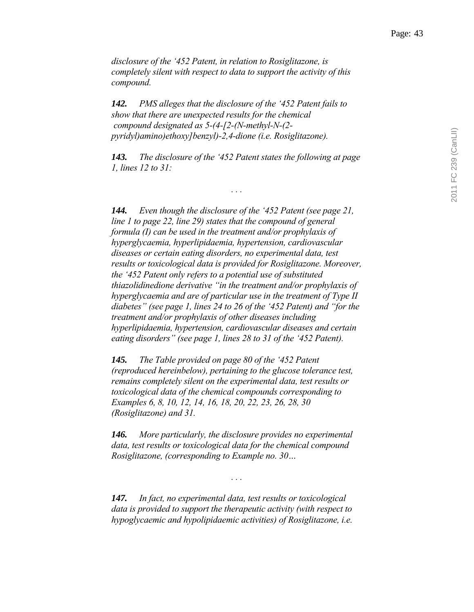*disclosure of the ë452 Patent, in relation to Rosiglitazone, is completely silent with respect to data to support the activity of this compound.* 

*142. PMS alleges that the disclosure of the ë452 Patent fails to show that there are unexpected results for the chemical compound designated as 5-(4-[2-(N-methyl-N-(2 pyridyl)amino)ethoxy]benzyl)-2,4-dione (i.e. Rosiglitazone).* 

*143. The disclosure of the ë452 Patent states the following at page 1, lines 12 to 31:* 

*. . .* 

*144. Even though the disclosure of the ë452 Patent (see page 21, line 1 to page 22, line 29) states that the compound of general formula (I) can be used in the treatment and/or prophylaxis of hyperglycaemia, hyperlipidaemia, hypertension, cardiovascular diseases or certain eating disorders, no experimental data, test results or toxicological data is provided for Rosiglitazone. Moreover, the ë452 Patent only refers to a potential use of substituted thiazolidinedione derivative "in the treatment and/or prophylaxis of hyperglycaemia and are of particular use in the treatment of Type II diabetes" (see page 1, lines 24 to 26 of the '452 Patent) and "for the treatment and/or prophylaxis of other diseases including hyperlipidaemia, hypertension, cardiovascular diseases and certain eating disorders" (see page 1, lines 28 to 31 of the '452 Patent).* 

*145. The Table provided on page 80 of the ë452 Patent (reproduced hereinbelow), pertaining to the glucose tolerance test, remains completely silent on the experimental data, test results or toxicological data of the chemical compounds corresponding to Examples 6, 8, 10, 12, 14, 16, 18, 20, 22, 23, 26, 28, 30 (Rosiglitazone) and 31.* 

*146. More particularly, the disclosure provides no experimental data, test results or toxicological data for the chemical compound Rosiglitazone, (corresponding to Example no. 30...* 

*147. In fact, no experimental data, test results or toxicological data is provided to support the therapeutic activity (with respect to hypoglycaemic and hypolipidaemic activities) of Rosiglitazone, i.e.* 

*. . .*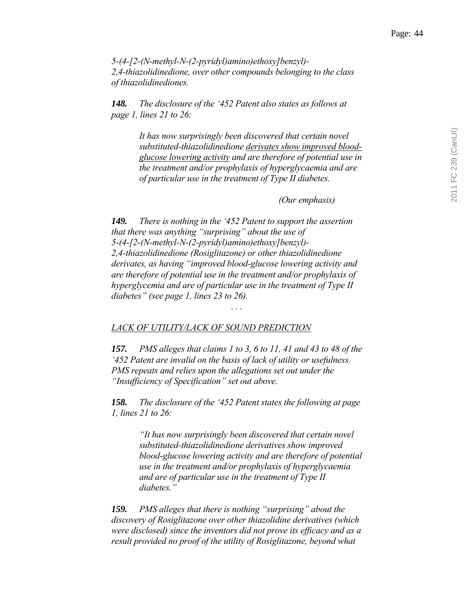*5-(4-[2-(N-methyl-N-(2-pyridyl)amino)ethoxy]benzyl)- 2,4-thiazolidinedione, over other compounds belonging to the class of thiazolidinediones.* 

*148. The disclosure of the ë452 Patent also states as follows at page 1, lines 21 to 26:* 

> *It has now surprisingly been discovered that certain novel substituted-thiazolidinedione derivates show improved bloodglucose lowering activity and are therefore of potential use in the treatment and/or prophylaxis of hyperglycaemia and are of particular use in the treatment of Type II diabetes.*

> > *(Our emphasis)*

*149. There is nothing in the ë452 Patent to support the assertion that there was anything "surprising" about the use of 5-(4-[2-(N-methyl-N-(2-pyridyl)amino)ethoxy]benzyl)- 2,4-thiazolidinedione (Rosiglitazone) or other thiazolidinedione*  derivates, as having "improved blood-glucose lowering activity and *are therefore of potential use in the treatment and/or prophylaxis of hyperglycemia and are of particular use in the treatment of Type II diabetes*" (see page 1, lines 23 to 26).

#### *LACK OF UTILITY/LACK OF SOUND PREDICTION*

*157. PMS alleges that claims 1 to 3, 6 to 11, 41 and 43 to 48 of the ë452 Patent are invalid on the basis of lack of utility or usefulness. PMS repeats and relies upon the allegations set out under the <sup><i>i*</sup>Insufficiency of Specification<sup>*''*</sup> set out above.</sup>

*. . .* 

*158. The disclosure of the ë452 Patent states the following at page 1, lines 21 to 26:* 

> *ìIt has now surprisingly been discovered that certain novel substituted-thiazolidinedione derivatives show improved blood-glucose lowering activity and are therefore of potential use in the treatment and/or prophylaxis of hyperglycaemia and are of particular use in the treatment of Type II*  diabetes.<sup>"</sup>

159. PMS alleges that there is nothing "surprising" about the *discovery of Rosiglitazone over other thiazolidine derivatives (which were disclosed) since the inventors did not prove its efficacy and as a result provided no proof of the utility of Rosiglitazone, beyond what*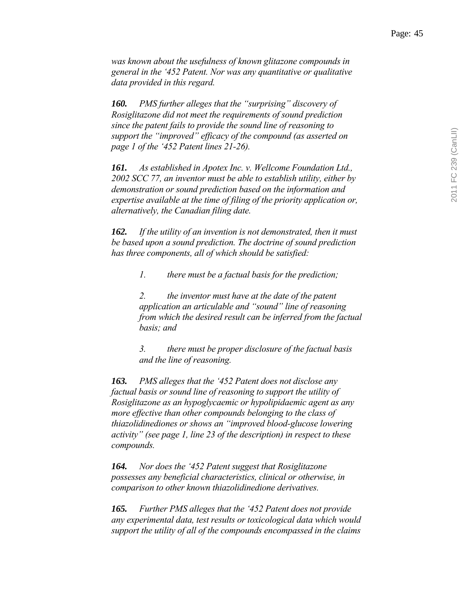*was known about the usefulness of known glitazone compounds in general in the ë452 Patent. Nor was any quantitative or qualitative data provided in this regard.* 

**160.** PMS further alleges that the "surprising" discovery of *Rosiglitazone did not meet the requirements of sound prediction since the patent fails to provide the sound line of reasoning to*  support the "*improved*" efficacy of the compound (as asserted on *page 1 of the ë452 Patent lines 21-26).* 

*161. As established in Apotex Inc. v. Wellcome Foundation Ltd., 2002 SCC 77, an inventor must be able to establish utility, either by demonstration or sound prediction based on the information and expertise available at the time of filing of the priority application or, alternatively, the Canadian filing date.* 

*162. If the utility of an invention is not demonstrated, then it must be based upon a sound prediction. The doctrine of sound prediction has three components, all of which should be satisfied:* 

*1. there must be a factual basis for the prediction;* 

*2. the inventor must have at the date of the patent application an articulable and "sound" line of reasoning from which the desired result can be inferred from the factual basis; and* 

*3. there must be proper disclosure of the factual basis and the line of reasoning.* 

*163. PMS alleges that the ë452 Patent does not disclose any factual basis or sound line of reasoning to support the utility of Rosiglitazone as an hypoglycaemic or hypolipidaemic agent as any more effective than other compounds belonging to the class of thiazolidinediones or shows an "improved blood-glucose lowering activity*" (see page 1, line 23 of the description) in respect to these *compounds.* 

*164. Nor does the ë452 Patent suggest that Rosiglitazone possesses any beneficial characteristics, clinical or otherwise, in comparison to other known thiazolidinedione derivatives.* 

*165. Further PMS alleges that the ë452 Patent does not provide any experimental data, test results or toxicological data which would support the utility of all of the compounds encompassed in the claims*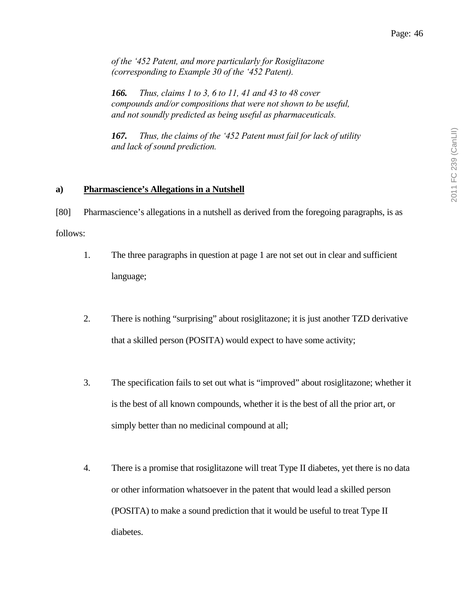*of the ë452 Patent, and more particularly for Rosiglitazone (corresponding to Example 30 of the '452 Patent).* 

*166. Thus, claims 1 to 3, 6 to 11, 41 and 43 to 48 cover compounds and/or compositions that were not shown to be useful, and not soundly predicted as being useful as pharmaceuticals.* 

*167. Thus, the claims of the ë452 Patent must fail for lack of utility and lack of sound prediction.* 

## **a) Pharmascience's Allegations in a Nutshell**

[80] Pharmascience's allegations in a nutshell as derived from the foregoing paragraphs, is as follows:

- 1. The three paragraphs in question at page 1 are not set out in clear and sufficient language;
- 2. There is nothing "surprising" about rosiglitazone; it is just another TZD derivative that a skilled person (POSITA) would expect to have some activity;
- 3. The specification fails to set out what is "improved" about rosiglitazone; whether it is the best of all known compounds, whether it is the best of all the prior art, or simply better than no medicinal compound at all;
- 4. There is a promise that rosiglitazone will treat Type II diabetes, yet there is no data or other information whatsoever in the patent that would lead a skilled person (POSITA) to make a sound prediction that it would be useful to treat Type II diabetes.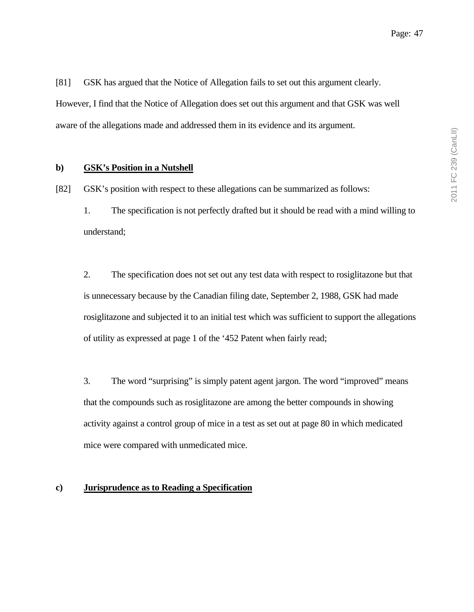[81] GSK has argued that the Notice of Allegation fails to set out this argument clearly. However, I find that the Notice of Allegation does set out this argument and that GSK was well aware of the allegations made and addressed them in its evidence and its argument.

#### **b) GSK's Position in a Nutshell**

[82] GSK's position with respect to these allegations can be summarized as follows:

1. The specification is not perfectly drafted but it should be read with a mind willing to understand;

2. The specification does not set out any test data with respect to rosiglitazone but that is unnecessary because by the Canadian filing date, September 2, 1988, GSK had made rosiglitazone and subjected it to an initial test which was sufficient to support the allegations of utility as expressed at page 1 of the '452 Patent when fairly read;

3. The word "surprising" is simply patent agent jargon. The word "improved" means that the compounds such as rosiglitazone are among the better compounds in showing activity against a control group of mice in a test as set out at page 80 in which medicated mice were compared with unmedicated mice.

#### **c) Jurisprudence as to Reading a Specification**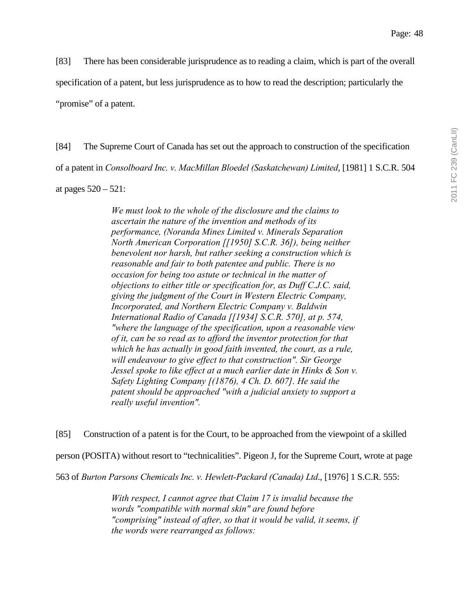[83] There has been considerable jurisprudence as to reading a claim, which is part of the overall

specification of a patent, but less jurisprudence as to how to read the description; particularly the

"promise" of a patent.

[84] The Supreme Court of Canada has set out the approach to construction of the specification

of a patent in *Consolboard Inc. v. MacMillan Bloedel (Saskatchewan) Limited*, [1981] 1 S.C.R. 504

at pages 520 – 521:

*We must look to the whole of the disclosure and the claims to ascertain the nature of the invention and methods of its performance, (Noranda Mines Limited v. Minerals Separation North American Corporation [[1950] S.C.R. 36]), being neither benevolent nor harsh, but rather seeking a construction which is reasonable and fair to both patentee and public. There is no occasion for being too astute or technical in the matter of objections to either title or specification for, as Duff C.J.C. said, giving the judgment of the Court in Western Electric Company, Incorporated, and Northern Electric Company v. Baldwin International Radio of Canada [[1934] S.C.R. 570], at p. 574, "where the language of the specification, upon a reasonable view of it, can be so read as to afford the inventor protection for that which he has actually in good faith invented, the court, as a rule, will endeavour to give effect to that construction". Sir George Jessel spoke to like effect at a much earlier date in Hinks & Son v. Safety Lighting Company [(1876), 4 Ch. D. 607]. He said the patent should be approached "with a judicial anxiety to support a really useful invention".* 

[85] Construction of a patent is for the Court, to be approached from the viewpoint of a skilled

person (POSITA) without resort to "technicalities". Pigeon J, for the Supreme Court, wrote at page

563 of *Burton Parsons Chemicals Inc. v. Hewlett-Packard (Canada) Ltd*., [1976] 1 S.C.R. 555:

*With respect, I cannot agree that Claim 17 is invalid because the words "compatible with normal skin" are found before "comprising" instead of after, so that it would be valid, it seems, if the words were rearranged as follows:*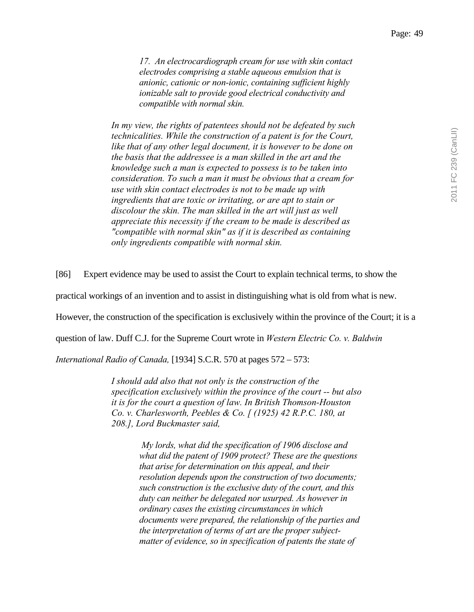*17. An electrocardiograph cream for use with skin contact electrodes comprising a stable aqueous emulsion that is anionic, cationic or non-ionic, containing sufficient highly ionizable salt to provide good electrical conductivity and compatible with normal skin.* 

*In my view, the rights of patentees should not be defeated by such technicalities. While the construction of a patent is for the Court, like that of any other legal document, it is however to be done on the basis that the addressee is a man skilled in the art and the knowledge such a man is expected to possess is to be taken into consideration. To such a man it must be obvious that a cream for use with skin contact electrodes is not to be made up with ingredients that are toxic or irritating, or are apt to stain or discolour the skin. The man skilled in the art will just as well appreciate this necessity if the cream to be made is described as "compatible with normal skin" as if it is described as containing only ingredients compatible with normal skin.* 

[86] Expert evidence may be used to assist the Court to explain technical terms, to show the

practical workings of an invention and to assist in distinguishing what is old from what is new.

However, the construction of the specification is exclusively within the province of the Court; it is a

question of law. Duff C.J. for the Supreme Court wrote in *Western Electric Co. v. Baldwin* 

*International Radio of Canada,* [1934] S.C.R. 570 at pages 572 – 573:

*I should add also that not only is the construction of the specification exclusively within the province of the court -- but also it is for the court a question of law. In British Thomson-Houston Co. v. Charlesworth, Peebles & Co. [ (1925) 42 R.P.C. 180, at 208.], Lord Buckmaster said,* 

> *My lords, what did the specification of 1906 disclose and what did the patent of 1909 protect? These are the questions that arise for determination on this appeal, and their resolution depends upon the construction of two documents; such construction is the exclusive duty of the court, and this duty can neither be delegated nor usurped. As however in ordinary cases the existing circumstances in which documents were prepared, the relationship of the parties and the interpretation of terms of art are the proper subjectmatter of evidence, so in specification of patents the state of*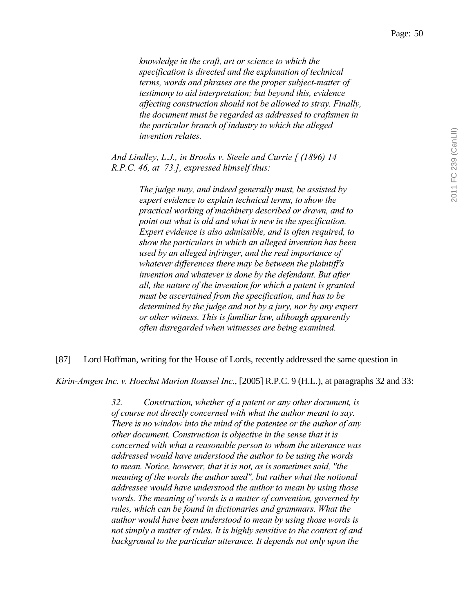*knowledge in the craft, art or science to which the specification is directed and the explanation of technical terms, words and phrases are the proper subject-matter of testimony to aid interpretation; but beyond this, evidence affecting construction should not be allowed to stray. Finally, the document must be regarded as addressed to craftsmen in the particular branch of industry to which the alleged invention relates.* 

*And Lindley, L.J., in Brooks v. Steele and Currie [ (1896) 14 R.P.C. 46, at 73.], expressed himself thus:* 

> *The judge may, and indeed generally must, be assisted by expert evidence to explain technical terms, to show the practical working of machinery described or drawn, and to point out what is old and what is new in the specification. Expert evidence is also admissible, and is often required, to show the particulars in which an alleged invention has been used by an alleged infringer, and the real importance of whatever differences there may be between the plaintiff's invention and whatever is done by the defendant. But after all, the nature of the invention for which a patent is granted must be ascertained from the specification, and has to be determined by the judge and not by a jury, nor by any expert or other witness. This is familiar law, although apparently often disregarded when witnesses are being examined.*

[87] Lord Hoffman, writing for the House of Lords, recently addressed the same question in

*Kirin-Amgen Inc. v. Hoechst Marion Roussel Inc*., [2005] R.P.C. 9 (H.L.), at paragraphs 32 and 33:

*32. Construction, whether of a patent or any other document, is of course not directly concerned with what the author meant to say. There is no window into the mind of the patentee or the author of any other document. Construction is objective in the sense that it is concerned with what a reasonable person to whom the utterance was addressed would have understood the author to be using the words to mean. Notice, however, that it is not, as is sometimes said, "the meaning of the words the author used", but rather what the notional addressee would have understood the author to mean by using those words. The meaning of words is a matter of convention, governed by rules, which can be found in dictionaries and grammars. What the author would have been understood to mean by using those words is not simply a matter of rules. It is highly sensitive to the context of and background to the particular utterance. It depends not only upon the*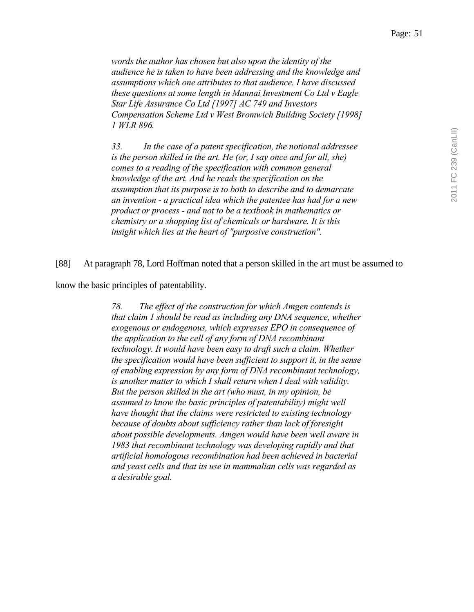*words the author has chosen but also upon the identity of the audience he is taken to have been addressing and the knowledge and assumptions which one attributes to that audience. I have discussed these questions at some length in Mannai Investment Co Ltd v Eagle Star Life Assurance Co Ltd [1997] AC 749 and Investors Compensation Scheme Ltd v West Bromwich Building Society [1998] 1 WLR 896.* 

*33. In the case of a patent specification, the notional addressee is the person skilled in the art. He (or, I say once and for all, she) comes to a reading of the specification with common general knowledge of the art. And he reads the specification on the assumption that its purpose is to both to describe and to demarcate an invention - a practical idea which the patentee has had for a new product or process - and not to be a textbook in mathematics or chemistry or a shopping list of chemicals or hardware. It is this insight which lies at the heart of "purposive construction".* 

[88] At paragraph 78, Lord Hoffman noted that a person skilled in the art must be assumed to

know the basic principles of patentability.

*78. The effect of the construction for which Amgen contends is that claim 1 should be read as including any DNA sequence, whether exogenous or endogenous, which expresses EPO in consequence of the application to the cell of any form of DNA recombinant technology. It would have been easy to draft such a claim. Whether the specification would have been sufficient to support it, in the sense of enabling expression by any form of DNA recombinant technology, is another matter to which I shall return when I deal with validity. But the person skilled in the art (who must, in my opinion, be assumed to know the basic principles of patentability) might well have thought that the claims were restricted to existing technology because of doubts about sufficiency rather than lack of foresight about possible developments. Amgen would have been well aware in 1983 that recombinant technology was developing rapidly and that artificial homologous recombination had been achieved in bacterial and yeast cells and that its use in mammalian cells was regarded as a desirable goal.*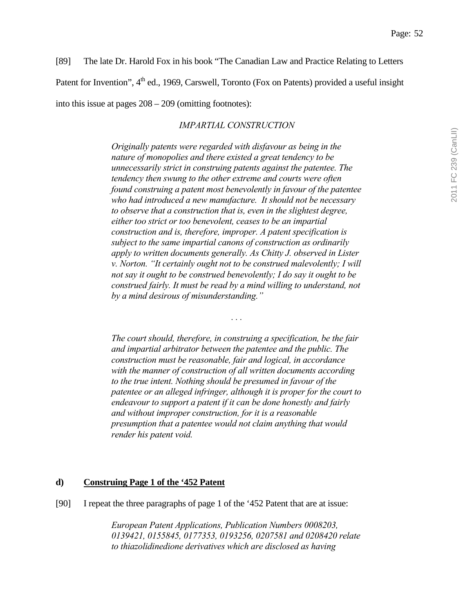[89] The late Dr. Harold Fox in his book "The Canadian Law and Practice Relating to Letters Patent for Invention", 4<sup>th</sup> ed., 1969, Carswell, Toronto (Fox on Patents) provided a useful insight into this issue at pages 208 – 209 (omitting footnotes):

#### *IMPARTIAL CONSTRUCTION*

*Originally patents were regarded with disfavour as being in the nature of monopolies and there existed a great tendency to be unnecessarily strict in construing patents against the patentee. The tendency then swung to the other extreme and courts were often found construing a patent most benevolently in favour of the patentee who had introduced a new manufacture. It should not be necessary to observe that a construction that is, even in the slightest degree, either too strict or too benevolent, ceases to be an impartial construction and is, therefore, improper. A patent specification is subject to the same impartial canons of construction as ordinarily apply to written documents generally. As Chitty J. observed in Lister v. Norton. "It certainly ought not to be construed malevolently; I will not say it ought to be construed benevolently; I do say it ought to be construed fairly. It must be read by a mind willing to understand, not by a mind desirous of misunderstanding.î*

*The court should, therefore, in construing a specification, be the fair and impartial arbitrator between the patentee and the public. The construction must be reasonable, fair and logical, in accordance with the manner of construction of all written documents according to the true intent. Nothing should be presumed in favour of the patentee or an alleged infringer, although it is proper for the court to endeavour to support a patent if it can be done honestly and fairly and without improper construction, for it is a reasonable presumption that a patentee would not claim anything that would render his patent void.*

*. . .* 

#### **d) Construing Page 1 of the '452 Patent**

[90] I repeat the three paragraphs of page 1 of the '452 Patent that are at issue:

*European Patent Applications, Publication Numbers 0008203, 0139421, 0155845, 0177353, 0193256, 0207581 and 0208420 relate to thiazolidinedione derivatives which are disclosed as having*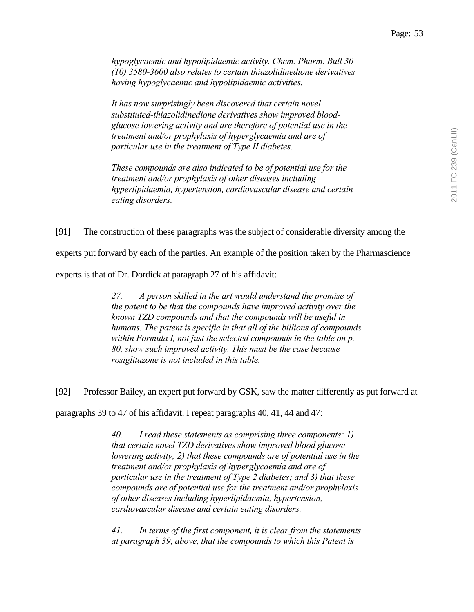*hypoglycaemic and hypolipidaemic activity. Chem. Pharm. Bull 30 (10) 3580-3600 also relates to certain thiazolidinedione derivatives having hypoglycaemic and hypolipidaemic activities.* 

*It has now surprisingly been discovered that certain novel substituted-thiazolidinedione derivatives show improved bloodglucose lowering activity and are therefore of potential use in the treatment and/or prophylaxis of hyperglycaemia and are of particular use in the treatment of Type II diabetes.* 

*These compounds are also indicated to be of potential use for the treatment and/or prophylaxis of other diseases including hyperlipidaemia, hypertension, cardiovascular disease and certain eating disorders.* 

[91] The construction of these paragraphs was the subject of considerable diversity among the experts put forward by each of the parties. An example of the position taken by the Pharmascience experts is that of Dr. Dordick at paragraph 27 of his affidavit:

> *27. A person skilled in the art would understand the promise of the patent to be that the compounds have improved activity over the known TZD compounds and that the compounds will be useful in humans. The patent is specific in that all of the billions of compounds within Formula I, not just the selected compounds in the table on p. 80, show such improved activity. This must be the case because rosiglitazone is not included in this table.*

[92] Professor Bailey, an expert put forward by GSK, saw the matter differently as put forward at

paragraphs 39 to 47 of his affidavit. I repeat paragraphs 40, 41, 44 and 47:

*40. I read these statements as comprising three components: 1) that certain novel TZD derivatives show improved blood glucose lowering activity; 2) that these compounds are of potential use in the treatment and/or prophylaxis of hyperglycaemia and are of particular use in the treatment of Type 2 diabetes; and 3) that these compounds are of potential use for the treatment and/or prophylaxis of other diseases including hyperlipidaemia, hypertension, cardiovascular disease and certain eating disorders.* 

*41. In terms of the first component, it is clear from the statements at paragraph 39, above, that the compounds to which this Patent is*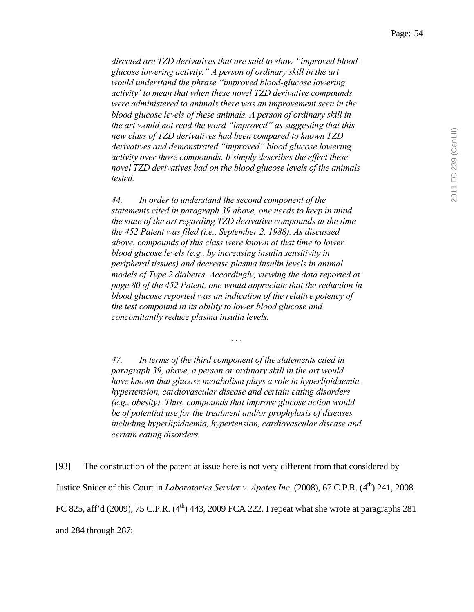directed are TZD derivatives that are said to show "improved blood*glucose lowering activity.î A person of ordinary skill in the art would understand the phrase "improved blood-glucose lowering* activity' to mean that when these novel TZD derivative compounds *were administered to animals there was an improvement seen in the blood glucose levels of these animals. A person of ordinary skill in the art would not read the word "improved" as suggesting that this new class of TZD derivatives had been compared to known TZD*  derivatives and demonstrated "improved" blood glucose lowering *activity over those compounds. It simply describes the effect these novel TZD derivatives had on the blood glucose levels of the animals tested.* 

*44. In order to understand the second component of the statements cited in paragraph 39 above, one needs to keep in mind the state of the art regarding TZD derivative compounds at the time the 452 Patent was filed (i.e., September 2, 1988). As discussed above, compounds of this class were known at that time to lower blood glucose levels (e.g., by increasing insulin sensitivity in peripheral tissues) and decrease plasma insulin levels in animal models of Type 2 diabetes. Accordingly, viewing the data reported at page 80 of the 452 Patent, one would appreciate that the reduction in blood glucose reported was an indication of the relative potency of the test compound in its ability to lower blood glucose and concomitantly reduce plasma insulin levels.* 

*. . .* 

*47. In terms of the third component of the statements cited in paragraph 39, above, a person or ordinary skill in the art would have known that glucose metabolism plays a role in hyperlipidaemia, hypertension, cardiovascular disease and certain eating disorders (e.g., obesity). Thus, compounds that improve glucose action would be of potential use for the treatment and/or prophylaxis of diseases including hyperlipidaemia, hypertension, cardiovascular disease and certain eating disorders.* 

[93] The construction of the patent at issue here is not very different from that considered by Justice Snider of this Court in *Laboratories Servier v. Apotex Inc.* (2008), 67 C.P.R. (4<sup>th</sup>) 241, 2008 FC 825, aff'd (2009), 75 C.P.R.  $(4^{th})$  443, 2009 FCA 222. I repeat what she wrote at paragraphs 281 and 284 through 287: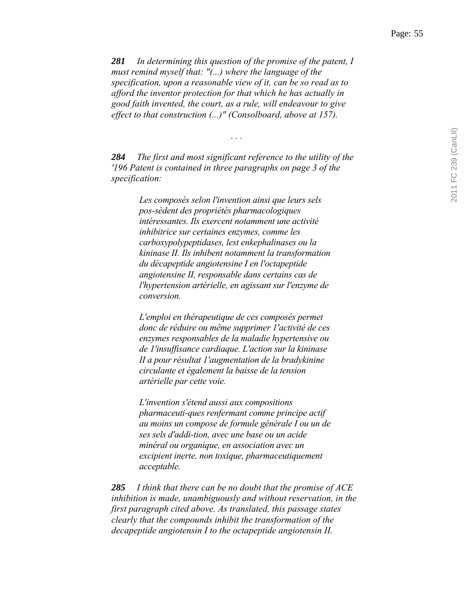*281 In determining this question of the promise of the patent, I must remind myself that: "(...) where the language of the specification, upon a reasonable view of it, can be so read as to afford the inventor protection for that which he has actually in good faith invented, the court, as a rule, will endeavour to give effect to that construction (...)" (Consolboard, above at 157).* 

*284 The first and most significant reference to the utility of the '196 Patent is contained in three paragraphs on page 3 of the specification:* 

*. . .* 

*Les composÈs selon l'invention ainsi que leurs sels pos-sËdent des propriÈtÈs pharmacologiques intÈressantes. Ils exercent notamment une activitÈ inhibitrice sur certaines enzymes, comme les carboxypolypeptidases, lest enkephalinases ou la kininase II. Ils inhibent notamment la transformation du dÈcapeptide angiotensine I en l'octapeptide angiotensine II, responsable dans certains cas de l'hypertension artÈrielle, en agissant sur l'enzyme de conversion.* 

*L'emploi en thÈrapeutique de ces composÈs permet donc de rÈduire ou mÍme supprimer 1'activitÈ de ces enzymes responsables de la maladie hypertensive ou de 1'insuffisance cardiaque. L'action sur la kininase II a pour rÈsultat 1'augmentation de la bradykinine circulante et Ègalement la baisse de la tension artÈrielle par cette voie.* 

*L'invention s'Ètend aussi aux compositions pharmaceuti-ques renfermant comme principe actif au moins un compose de formule gÈnÈrale I ou un de ses sels d'addi-tion, avec une base ou un acide minÈral ou organique, en association avec un excipient inerte, non toxique, pharmaceutiquement acceptable.* 

*285 I think that there can be no doubt that the promise of ACE inhibition is made, unambiguously and without reservation, in the first paragraph cited above. As translated, this passage states clearly that the compounds inhibit the transformation of the decapeptide angiotensin I to the octapeptide angiotensin II.*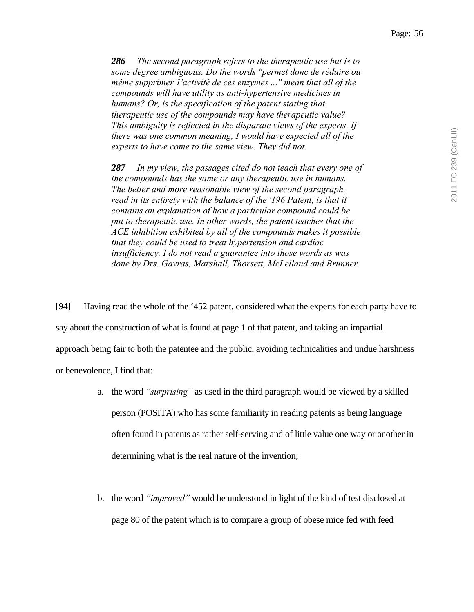*286 The second paragraph refers to the therapeutic use but is to some degree ambiguous. Do the words "permet donc de rÈduire ou même supprimer l'activité de ces enzymes ..." mean that all of the compounds will have utility as anti-hypertensive medicines in humans? Or, is the specification of the patent stating that therapeutic use of the compounds may have therapeutic value? This ambiguity is reflected in the disparate views of the experts. If there was one common meaning, I would have expected all of the experts to have come to the same view. They did not.* 

*287 In my view, the passages cited do not teach that every one of the compounds has the same or any therapeutic use in humans. The better and more reasonable view of the second paragraph, read in its entirety with the balance of the '196 Patent, is that it contains an explanation of how a particular compound could be put to therapeutic use. In other words, the patent teaches that the ACE inhibition exhibited by all of the compounds makes it possible that they could be used to treat hypertension and cardiac insufficiency. I do not read a guarantee into those words as was done by Drs. Gavras, Marshall, Thorsett, McLelland and Brunner.* 

[94] Having read the whole of the '452 patent, considered what the experts for each party have to say about the construction of what is found at page 1 of that patent, and taking an impartial approach being fair to both the patentee and the public, avoiding technicalities and undue harshness or benevolence, I find that:

- a. the word *"surprising*" as used in the third paragraph would be viewed by a skilled person (POSITA) who has some familiarity in reading patents as being language often found in patents as rather self-serving and of little value one way or another in determining what is the real nature of the invention;
- b. the word *"improved"* would be understood in light of the kind of test disclosed at page 80 of the patent which is to compare a group of obese mice fed with feed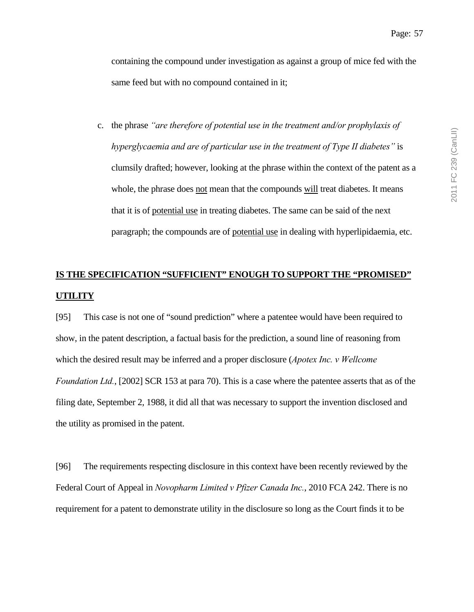containing the compound under investigation as against a group of mice fed with the same feed but with no compound contained in it;

c. the phrase *ìare therefore of potential use in the treatment and/or prophylaxis of hyperglycaemia and are of particular use in the treatment of Type II diabetes*" is clumsily drafted; however, looking at the phrase within the context of the patent as a whole, the phrase does not mean that the compounds will treat diabetes. It means that it is of potential use in treating diabetes. The same can be said of the next paragraph; the compounds are of potential use in dealing with hyperlipidaemia, etc.

# **IS THE SPECIFICATION "SUFFICIENT" ENOUGH TO SUPPORT THE "PROMISED" UTILITY**

[95] This case is not one of "sound prediction" where a patentee would have been required to show, in the patent description, a factual basis for the prediction, a sound line of reasoning from which the desired result may be inferred and a proper disclosure (*Apotex Inc. v Wellcome Foundation Ltd.*, [2002] SCR 153 at para 70). This is a case where the patentee asserts that as of the filing date, September 2, 1988, it did all that was necessary to support the invention disclosed and the utility as promised in the patent.

[96] The requirements respecting disclosure in this context have been recently reviewed by the Federal Court of Appeal in *Novopharm Limited v Pfizer Canada Inc.*, 2010 FCA 242. There is no requirement for a patent to demonstrate utility in the disclosure so long as the Court finds it to be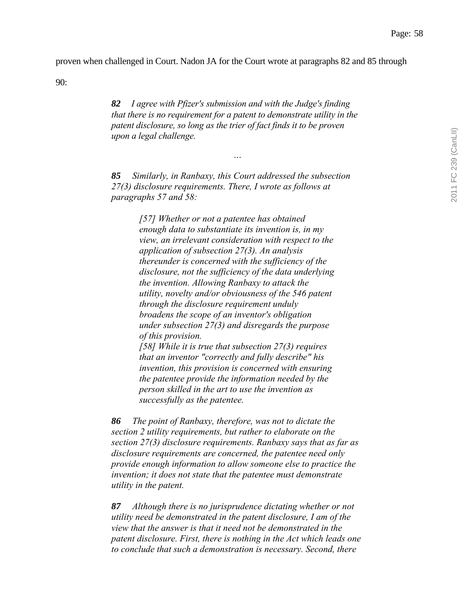proven when challenged in Court. Nadon JA for the Court wrote at paragraphs 82 and 85 through

90:

*82 I agree with Pfizer's submission and with the Judge's finding that there is no requirement for a patent to demonstrate utility in the patent disclosure, so long as the trier of fact finds it to be proven upon a legal challenge.* 

*…*

*85 Similarly, in Ranbaxy, this Court addressed the subsection 27(3) disclosure requirements. There, I wrote as follows at paragraphs 57 and 58:* 

> *[57] Whether or not a patentee has obtained enough data to substantiate its invention is, in my view, an irrelevant consideration with respect to the application of subsection 27(3). An analysis thereunder is concerned with the sufficiency of the disclosure, not the sufficiency of the data underlying the invention. Allowing Ranbaxy to attack the utility, novelty and/or obviousness of the 546 patent through the disclosure requirement unduly broadens the scope of an inventor's obligation under subsection 27(3) and disregards the purpose of this provision.*

> *[58] While it is true that subsection 27(3) requires that an inventor "correctly and fully describe" his invention, this provision is concerned with ensuring the patentee provide the information needed by the person skilled in the art to use the invention as successfully as the patentee.*

*86 The point of Ranbaxy, therefore, was not to dictate the section 2 utility requirements, but rather to elaborate on the section 27(3) disclosure requirements. Ranbaxy says that as far as disclosure requirements are concerned, the patentee need only provide enough information to allow someone else to practice the invention; it does not state that the patentee must demonstrate utility in the patent.* 

*87 Although there is no jurisprudence dictating whether or not utility need be demonstrated in the patent disclosure, I am of the view that the answer is that it need not be demonstrated in the patent disclosure. First, there is nothing in the Act which leads one to conclude that such a demonstration is necessary. Second, there*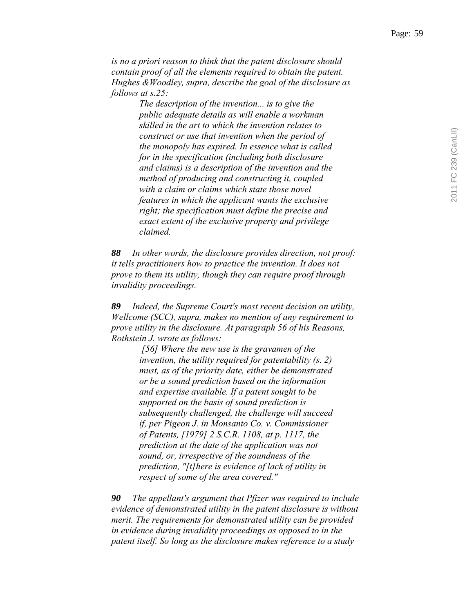*is no a priori reason to think that the patent disclosure should contain proof of all the elements required to obtain the patent. Hughes &Woodley, supra, describe the goal of the disclosure as follows at s.25:* 

> *The description of the invention... is to give the public adequate details as will enable a workman skilled in the art to which the invention relates to construct or use that invention when the period of the monopoly has expired. In essence what is called for in the specification (including both disclosure and claims) is a description of the invention and the method of producing and constructing it, coupled with a claim or claims which state those novel features in which the applicant wants the exclusive right; the specification must define the precise and exact extent of the exclusive property and privilege claimed.*

*88 In other words, the disclosure provides direction, not proof: it tells practitioners how to practice the invention. It does not prove to them its utility, though they can require proof through invalidity proceedings.* 

*89 Indeed, the Supreme Court's most recent decision on utility, Wellcome (SCC), supra, makes no mention of any requirement to prove utility in the disclosure. At paragraph 56 of his Reasons, Rothstein J. wrote as follows:* 

> *[56] Where the new use is the gravamen of the invention, the utility required for patentability (s. 2) must, as of the priority date, either be demonstrated or be a sound prediction based on the information and expertise available. If a patent sought to be supported on the basis of sound prediction is subsequently challenged, the challenge will succeed if, per Pigeon J. in Monsanto Co. v. Commissioner of Patents, [1979] 2 S.C.R. 1108, at p. 1117, the prediction at the date of the application was not sound, or, irrespective of the soundness of the prediction, "[t]here is evidence of lack of utility in respect of some of the area covered."*

*90 The appellant's argument that Pfizer was required to include evidence of demonstrated utility in the patent disclosure is without merit. The requirements for demonstrated utility can be provided in evidence during invalidity proceedings as opposed to in the patent itself. So long as the disclosure makes reference to a study*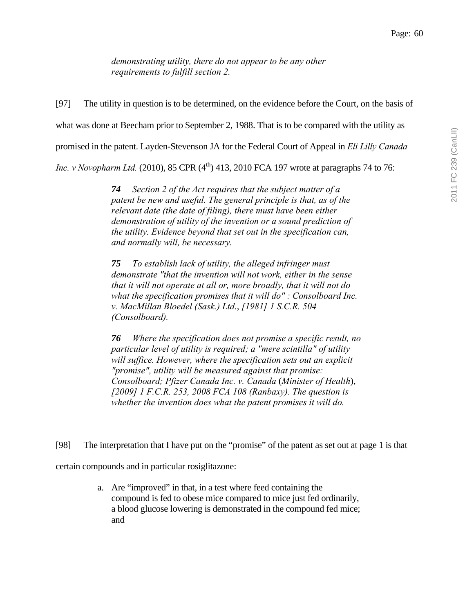*demonstrating utility, there do not appear to be any other requirements to fulfill section 2.* 

[97] The utility in question is to be determined, on the evidence before the Court, on the basis of what was done at Beecham prior to September 2, 1988. That is to be compared with the utility as promised in the patent. Layden-Stevenson JA for the Federal Court of Appeal in *Eli Lilly Canada Inc. v Novopharm Ltd.* (2010),  $85 \text{ CPR } (4^{\text{th}})$  413, 2010 FCA 197 wrote at paragraphs 74 to 76:

> *74 Section 2 of the Act requires that the subject matter of a patent be new and useful. The general principle is that, as of the relevant date (the date of filing), there must have been either demonstration of utility of the invention or a sound prediction of the utility. Evidence beyond that set out in the specification can, and normally will, be necessary.*

*75 To establish lack of utility, the alleged infringer must demonstrate "that the invention will not work, either in the sense that it will not operate at all or, more broadly, that it will not do what the specification promises that it will do" : Consolboard Inc. v. MacMillan Bloedel (Sask.) Ltd*., *[1981] 1 S.C.R. 504 (Consolboard).* 

*76 Where the specification does not promise a specific result, no particular level of utility is required; a "mere scintilla" of utility will suffice. However, where the specification sets out an explicit "promise", utility will be measured against that promise: Consolboard; Pfizer Canada Inc. v. Canada* (*Minister of Health*), *[2009] 1 F.C.R. 253, 2008 FCA 108 (Ranbaxy). The question is whether the invention does what the patent promises it will do.* 

[98] The interpretation that I have put on the "promise" of the patent as set out at page 1 is that

certain compounds and in particular rosiglitazone:

a. Are "improved" in that, in a test where feed containing the compound is fed to obese mice compared to mice just fed ordinarily, a blood glucose lowering is demonstrated in the compound fed mice; and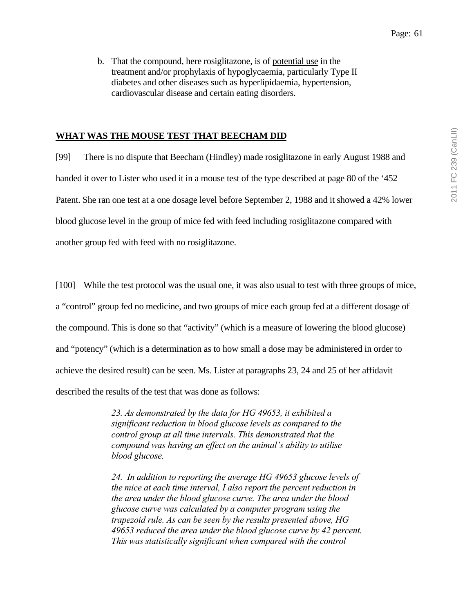b. That the compound, here rosiglitazone, is of potential use in the treatment and/or prophylaxis of hypoglycaemia, particularly Type II diabetes and other diseases such as hyperlipidaemia, hypertension, cardiovascular disease and certain eating disorders.

## **WHAT WAS THE MOUSE TEST THAT BEECHAM DID**

[99] There is no dispute that Beecham (Hindley) made rosiglitazone in early August 1988 and handed it over to Lister who used it in a mouse test of the type described at page 80 of the '452 Patent. She ran one test at a one dosage level before September 2, 1988 and it showed a 42% lower blood glucose level in the group of mice fed with feed including rosiglitazone compared with another group fed with feed with no rosiglitazone.

[100] While the test protocol was the usual one, it was also usual to test with three groups of mice, a "control" group fed no medicine, and two groups of mice each group fed at a different dosage of the compound. This is done so that "activity" (which is a measure of lowering the blood glucose) and "potency" (which is a determination as to how small a dose may be administered in order to achieve the desired result) can be seen. Ms. Lister at paragraphs 23, 24 and 25 of her affidavit described the results of the test that was done as follows:

> *23. As demonstrated by the data for HG 49653, it exhibited a significant reduction in blood glucose levels as compared to the control group at all time intervals. This demonstrated that the compound was having an effect on the animal's ability to utilise blood glucose.*

*24. In addition to reporting the average HG 49653 glucose levels of the mice at each time interval, I also report the percent reduction in the area under the blood glucose curve. The area under the blood glucose curve was calculated by a computer program using the trapezoid rule. As can be seen by the results presented above, HG 49653 reduced the area under the blood glucose curve by 42 percent. This was statistically significant when compared with the control*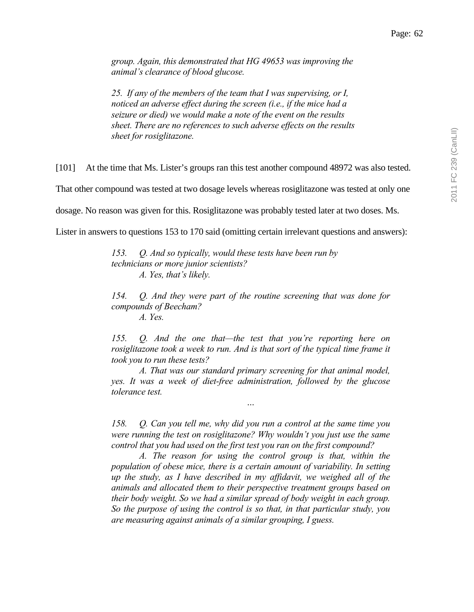*group. Again, this demonstrated that HG 49653 was improving the animal's clearance of blood glucose.* 

*25. If any of the members of the team that I was supervising, or I, noticed an adverse effect during the screen (i.e., if the mice had a seizure or died) we would make a note of the event on the results sheet. There are no references to such adverse effects on the results sheet for rosiglitazone.* 

[101] At the time that Ms. Lister's groups ran this test another compound 48972 was also tested.

That other compound was tested at two dosage levels whereas rosiglitazone was tested at only one

dosage. No reason was given for this. Rosiglitazone was probably tested later at two doses. Ms.

Lister in answers to questions 153 to 170 said (omitting certain irrelevant questions and answers):

*153. Q. And so typically, would these tests have been run by technicians or more junior scientists? A. Yes, that's likely.* 

*154. Q. And they were part of the routine screening that was done for compounds of Beecham? A. Yes.* 

155. Q. And the one that—the test that you're reporting here on *rosiglitazone took a week to run. And is that sort of the typical time frame it took you to run these tests?* 

 *A. That was our standard primary screening for that animal model, yes. It was a week of diet-free administration, followed by the glucose tolerance test.* 

*Ö* 

*158. Q. Can you tell me, why did you run a control at the same time you were running the test on rosiglitazone? Why wouldnít you just use the same control that you had used on the first test you ran on the first compound?* 

 *A. The reason for using the control group is that, within the population of obese mice, there is a certain amount of variability. In setting up the study, as I have described in my affidavit, we weighed all of the animals and allocated them to their perspective treatment groups based on their body weight. So we had a similar spread of body weight in each group. So the purpose of using the control is so that, in that particular study, you are measuring against animals of a similar grouping, I guess.*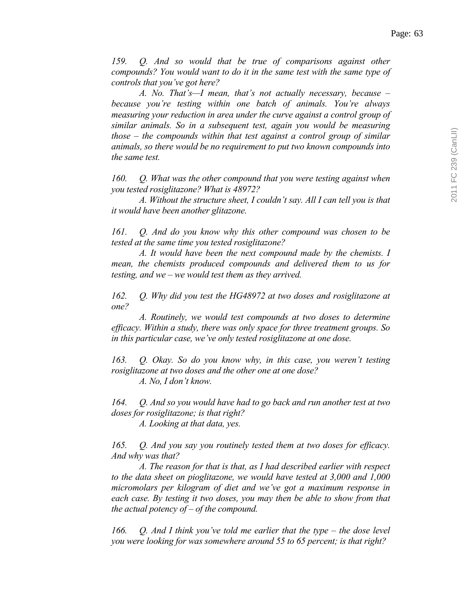*159. Q. And so would that be true of comparisons against other compounds? You would want to do it in the same test with the same type of controls that you've got here?* 

*A. No. That's—I mean, that's not actually necessary, because – because you're testing within one batch of animals. You're always measuring your reduction in area under the curve against a control group of similar animals. So in a subsequent test, again you would be measuring those – the compounds within that test against a control group of similar animals, so there would be no requirement to put two known compounds into the same test.* 

*160. Q. What was the other compound that you were testing against when you tested rosiglitazone? What is 48972?* 

A. Without the structure sheet, I couldn't say. All I can tell you is that *it would have been another glitazone.* 

*161. Q. And do you know why this other compound was chosen to be tested at the same time you tested rosiglitazone?* 

 *A. It would have been the next compound made by the chemists. I mean, the chemists produced compounds and delivered them to us for testing, and we – we would test them as they arrived.* 

*162. Q. Why did you test the HG48972 at two doses and rosiglitazone at one?* 

 *A. Routinely, we would test compounds at two doses to determine efficacy. Within a study, there was only space for three treatment groups. So in this particular case, we've only tested rosiglitazone at one dose.* 

*163. Q. Okay. So do you know why, in this case, you werenít testing rosiglitazone at two doses and the other one at one dose?* 

 *A. No, I donít know.* 

*164. Q. And so you would have had to go back and run another test at two doses for rosiglitazone; is that right?* 

 *A. Looking at that data, yes.* 

*165. Q. And you say you routinely tested them at two doses for efficacy. And why was that?* 

 *A. The reason for that is that, as I had described earlier with respect to the data sheet on pioglitazone, we would have tested at 3,000 and 1,000 micromolars per kilogram of diet and we've got a maximum response in each case. By testing it two doses, you may then be able to show from that the actual potency of*  $-$  *of the compound.* 

*166. Q. And I think you've told me earlier that the type – the dose level you were looking for was somewhere around 55 to 65 percent; is that right?*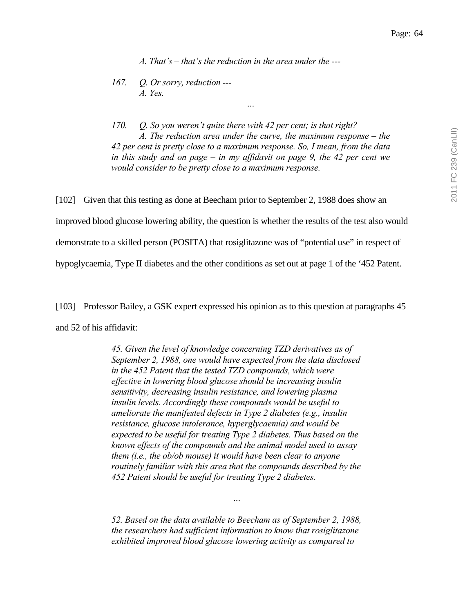*A. That's – that's the reduction in the area under the ---*

*167. Q. Or sorry, reduction --- A. Yes.* 

170. Q. So you weren't quite there with 42 per cent; is that right? *A. The reduction area under the curve, the maximum response – the 42 per cent is pretty close to a maximum response. So, I mean, from the data in this study and on page – in my affidavit on page 9, the 42 per cent we would consider to be pretty close to a maximum response.* 

*Ö* 

[102] Given that this testing as done at Beecham prior to September 2, 1988 does show an improved blood glucose lowering ability, the question is whether the results of the test also would demonstrate to a skilled person (POSITA) that rosiglitazone was of "potential use" in respect of hypoglycaemia, Type II diabetes and the other conditions as set out at page 1 of the '452 Patent.

[103] Professor Bailey, a GSK expert expressed his opinion as to this question at paragraphs 45 and 52 of his affidavit:

> *45. Given the level of knowledge concerning TZD derivatives as of September 2, 1988, one would have expected from the data disclosed in the 452 Patent that the tested TZD compounds, which were effective in lowering blood glucose should be increasing insulin sensitivity, decreasing insulin resistance, and lowering plasma insulin levels. Accordingly these compounds would be useful to ameliorate the manifested defects in Type 2 diabetes (e.g., insulin resistance, glucose intolerance, hyperglycaemia) and would be expected to be useful for treating Type 2 diabetes. Thus based on the known effects of the compounds and the animal model used to assay them (i.e., the ob/ob mouse) it would have been clear to anyone routinely familiar with this area that the compounds described by the 452 Patent should be useful for treating Type 2 diabetes.*

> *52. Based on the data available to Beecham as of September 2, 1988, the researchers had sufficient information to know that rosiglitazone exhibited improved blood glucose lowering activity as compared to*

*Ö*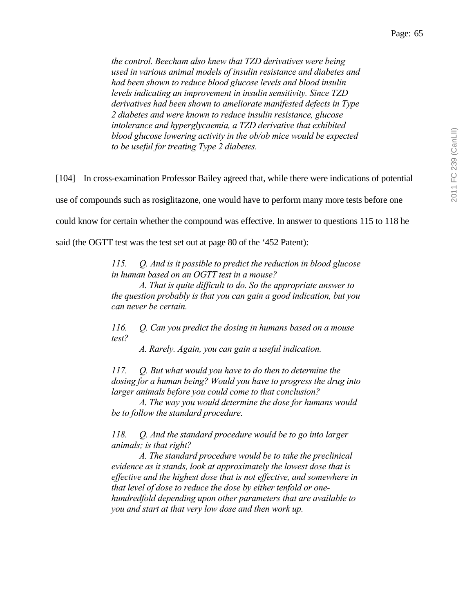*the control. Beecham also knew that TZD derivatives were being used in various animal models of insulin resistance and diabetes and had been shown to reduce blood glucose levels and blood insulin levels indicating an improvement in insulin sensitivity. Since TZD derivatives had been shown to ameliorate manifested defects in Type 2 diabetes and were known to reduce insulin resistance, glucose intolerance and hyperglycaemia, a TZD derivative that exhibited blood glucose lowering activity in the ob/ob mice would be expected to be useful for treating Type 2 diabetes.* 

[104] In cross-examination Professor Bailey agreed that, while there were indications of potential use of compounds such as rosiglitazone, one would have to perform many more tests before one could know for certain whether the compound was effective. In answer to questions 115 to 118 he said (the OGTT test was the test set out at page 80 of the '452 Patent):

> *115. Q. And is it possible to predict the reduction in blood glucose in human based on an OGTT test in a mouse?*

> *A. That is quite difficult to do. So the appropriate answer to the question probably is that you can gain a good indication, but you can never be certain.*

*116. Q. Can you predict the dosing in humans based on a mouse test?* 

 *A. Rarely. Again, you can gain a useful indication.* 

*117. Q. But what would you have to do then to determine the dosing for a human being? Would you have to progress the drug into larger animals before you could come to that conclusion?* 

 *A. The way you would determine the dose for humans would be to follow the standard procedure.* 

*118. Q. And the standard procedure would be to go into larger animals; is that right?* 

 *A. The standard procedure would be to take the preclinical evidence as it stands, look at approximately the lowest dose that is effective and the highest dose that is not effective, and somewhere in that level of dose to reduce the dose by either tenfold or onehundredfold depending upon other parameters that are available to you and start at that very low dose and then work up.*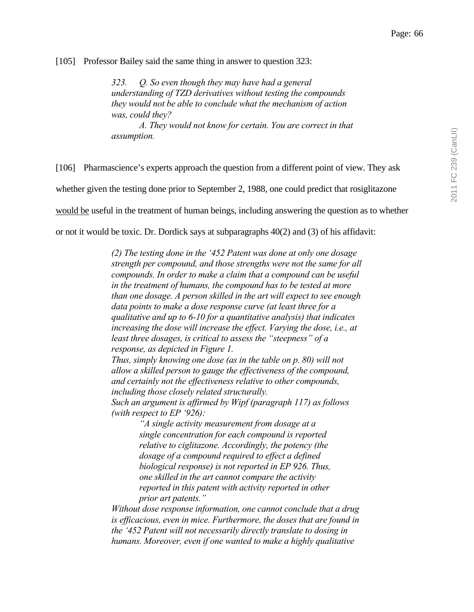[105] Professor Bailey said the same thing in answer to question 323:

*323. Q. So even though they may have had a general understanding of TZD derivatives without testing the compounds they would not be able to conclude what the mechanism of action was, could they?* 

 *A. They would not know for certain. You are correct in that assumption.* 

[106] Pharmascience's experts approach the question from a different point of view. They ask whether given the testing done prior to September 2, 1988, one could predict that rosiglitazone would be useful in the treatment of human beings, including answering the question as to whether or not it would be toxic. Dr. Dordick says at subparagraphs 40(2) and (3) of his affidavit:

> *(2) The testing done in the ë452 Patent was done at only one dosage strength per compound, and those strengths were not the same for all compounds. In order to make a claim that a compound can be useful in the treatment of humans, the compound has to be tested at more than one dosage. A person skilled in the art will expect to see enough data points to make a dose response curve (at least three for a qualitative and up to 6-10 for a quantitative analysis) that indicates increasing the dose will increase the effect. Varying the dose, i.e., at least three dosages, is critical to assess the "steepness" of a response, as depicted in Figure 1.*

*Thus, simply knowing one dose (as in the table on p. 80) will not allow a skilled person to gauge the effectiveness of the compound, and certainly not the effectiveness relative to other compounds, including those closely related structurally.* 

*Such an argument is affirmed by Wipf (paragraph 117) as follows (with respect to EP ë926):* 

> *ìA single activity measurement from dosage at a single concentration for each compound is reported relative to ciglitazone. Accordingly, the potency (the dosage of a compound required to effect a defined biological response) is not reported in EP 926. Thus, one skilled in the art cannot compare the activity reported in this patent with activity reported in other prior art patents.*"

*Without dose response information, one cannot conclude that a drug is efficacious, even in mice. Furthermore, the doses that are found in the ë452 Patent will not necessarily directly translate to dosing in humans. Moreover, even if one wanted to make a highly qualitative*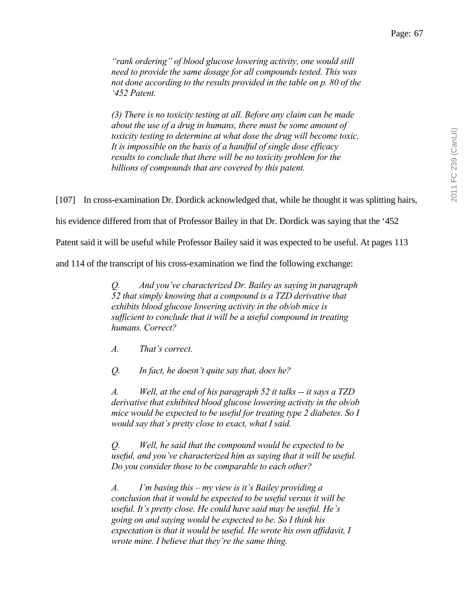*ìrank orderingî of blood glucose lowering activity, one would still need to provide the same dosage for all compounds tested. This was not done according to the results provided in the table on p. 80 of the ë452 Patent.* 

*(3) There is no toxicity testing at all. Before any claim can be made about the use of a drug in humans, there must be some amount of toxicity testing to determine at what dose the drug will become toxic. It is impossible on the basis of a handful of single dose efficacy results to conclude that there will be no toxicity problem for the billions of compounds that are covered by this patent.* 

[107] In cross-examination Dr. Dordick acknowledged that, while he thought it was splitting hairs, his evidence differed from that of Professor Bailey in that Dr. Dordick was saying that the '452 Patent said it will be useful while Professor Bailey said it was expected to be useful. At pages 113 and 114 of the transcript of his cross-examination we find the following exchange:

> *Q. And youíve characterized Dr. Bailey as saying in paragraph 52 that simply knowing that a compound is a TZD derivative that exhibits blood glucose lowering activity in the ob/ob mice is sufficient to conclude that it will be a useful compound in treating humans. Correct?*

*A. That's correct.* 

*Q. In fact, he doesnít quite say that, does he?* 

*A. Well, at the end of his paragraph 52 it talks -- it says a TZD derivative that exhibited blood glucose lowering activity in the ob/ob mice would be expected to be useful for treating type 2 diabetes. So I would say that's pretty close to exact, what I said.* 

*Q. Well, he said that the compound would be expected to be useful, and you've characterized him as saying that it will be useful. Do you consider those to be comparable to each other?* 

*A. I'm basing this – my view is it's Bailey providing a conclusion that it would be expected to be useful versus it will be useful. It's pretty close. He could have said may be useful. He's going on and saying would be expected to be. So I think his expectation is that it would be useful. He wrote his own affidavit, I wrote mine. I believe that they're the same thing.*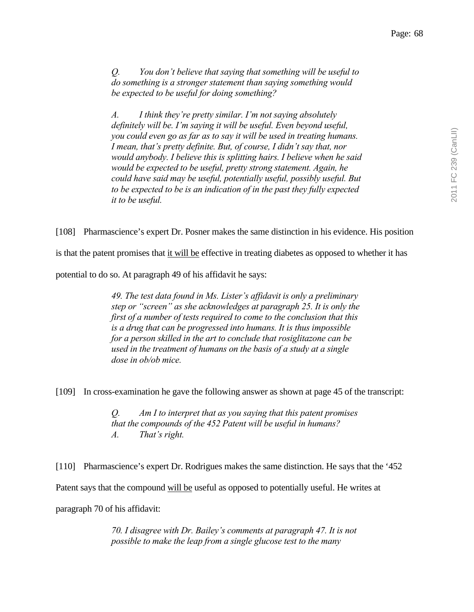*Q. You donít believe that saying that something will be useful to do something is a stronger statement than saying something would be expected to be useful for doing something?* 

*A. I think theyíre pretty similar. Iím not saying absolutely definitely will be. Iím saying it will be useful. Even beyond useful, you could even go as far as to say it will be used in treating humans. I mean, that's pretty definite. But, of course, I didn't say that, nor would anybody. I believe this is splitting hairs. I believe when he said would be expected to be useful, pretty strong statement. Again, he could have said may be useful, potentially useful, possibly useful. But to be expected to be is an indication of in the past they fully expected it to be useful.* 

[108] Pharmascience's expert Dr. Posner makes the same distinction in his evidence. His position is that the patent promises that it will be effective in treating diabetes as opposed to whether it has potential to do so. At paragraph 49 of his affidavit he says:

> 49. The test data found in Ms. Lister's affidavit is only a preliminary *step or "screen" as she acknowledges at paragraph 25. It is only the first of a number of tests required to come to the conclusion that this is a drug that can be progressed into humans. It is thus impossible for a person skilled in the art to conclude that rosiglitazone can be used in the treatment of humans on the basis of a study at a single dose in ob/ob mice.*

[109] In cross-examination he gave the following answer as shown at page 45 of the transcript:

*Q. Am I to interpret that as you saying that this patent promises that the compounds of the 452 Patent will be useful in humans? A. That's right.* 

[110] Pharmascience's expert Dr. Rodrigues makes the same distinction. He says that the '452 Patent says that the compound will be useful as opposed to potentially useful. He writes at paragraph 70 of his affidavit:

> *70. I disagree with Dr. Baileyís comments at paragraph 47. It is not possible to make the leap from a single glucose test to the many*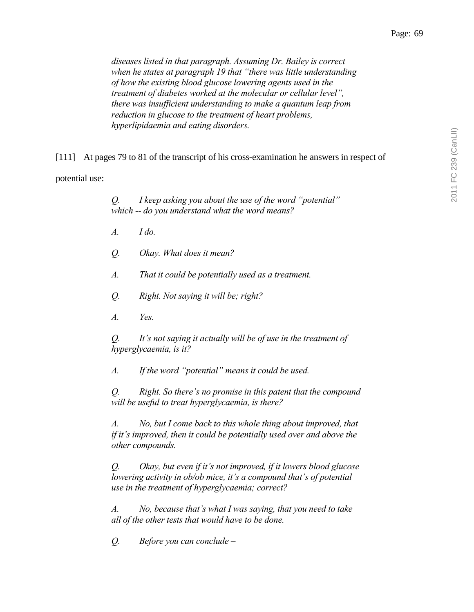*diseases listed in that paragraph. Assuming Dr. Bailey is correct*  when he states at paragraph 19 that "there was little understanding *of how the existing blood glucose lowering agents used in the treatment of diabetes worked at the molecular or cellular level", there was insufficient understanding to make a quantum leap from reduction in glucose to the treatment of heart problems, hyperlipidaemia and eating disorders.* 

[111] At pages 79 to 81 of the transcript of his cross-examination he answers in respect of

potential use:

| Q.          | I keep asking you about the use of the word "potential"<br>which -- do you understand what the word means?                                                 |
|-------------|------------------------------------------------------------------------------------------------------------------------------------------------------------|
| A.          | $I$ do.                                                                                                                                                    |
| Q.          | Okay. What does it mean?                                                                                                                                   |
| A.          | That it could be potentially used as a treatment.                                                                                                          |
| Q.          | Right. Not saying it will be; right?                                                                                                                       |
| A.          | Yes.                                                                                                                                                       |
| Q.          | It's not saying it actually will be of use in the treatment of<br>hyperglycaemia, is it?                                                                   |
| $A$ .       | If the word "potential" means it could be used.                                                                                                            |
| Q.          | Right. So there's no promise in this patent that the compound<br>will be useful to treat hyperglycaemia, is there?                                         |
| $A_{\cdot}$ | No, but I come back to this whole thing about improved, that<br>if it's improved, then it could be potentially used over and above the<br>other compounds. |

*Q. Okay, but even if itís not improved, if it lowers blood glucose lowering activity in ob/ob mice, it's a compound that's of potential use in the treatment of hyperglycaemia; correct?* 

*A.* No, because that's what I was saying, that you need to take *all of the other tests that would have to be done.* 

*Q. Before you can conclude –*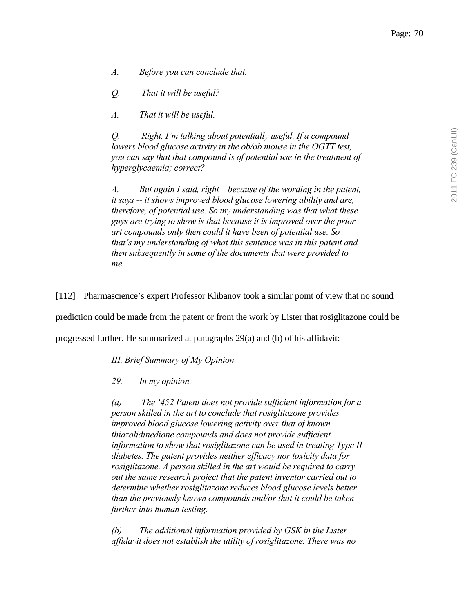*A. Before you can conclude that.* 

*Q. That it will be useful?* 

*A. That it will be useful.* 

*Q. Right. Iím talking about potentially useful. If a compound lowers blood glucose activity in the ob/ob mouse in the OGTT test, you can say that that compound is of potential use in the treatment of hyperglycaemia; correct?* 

*A.* But again I said, right – because of the wording in the patent, *it says -- it shows improved blood glucose lowering ability and are, therefore, of potential use. So my understanding was that what these guys are trying to show is that because it is improved over the prior art compounds only then could it have been of potential use. So that's my understanding of what this sentence was in this patent and then subsequently in some of the documents that were provided to me.* 

[112] Pharmascience's expert Professor Klibanov took a similar point of view that no sound

prediction could be made from the patent or from the work by Lister that rosiglitazone could be

progressed further. He summarized at paragraphs 29(a) and (b) of his affidavit:

# *III. Brief Summary of My Opinion*

*29. In my opinion,* 

*(a) The ë452 Patent does not provide sufficient information for a person skilled in the art to conclude that rosiglitazone provides improved blood glucose lowering activity over that of known thiazolidinedione compounds and does not provide sufficient information to show that rosiglitazone can be used in treating Type II diabetes. The patent provides neither efficacy nor toxicity data for rosiglitazone. A person skilled in the art would be required to carry out the same research project that the patent inventor carried out to determine whether rosiglitazone reduces blood glucose levels better than the previously known compounds and/or that it could be taken further into human testing.* 

*(b) The additional information provided by GSK in the Lister affidavit does not establish the utility of rosiglitazone. There was no*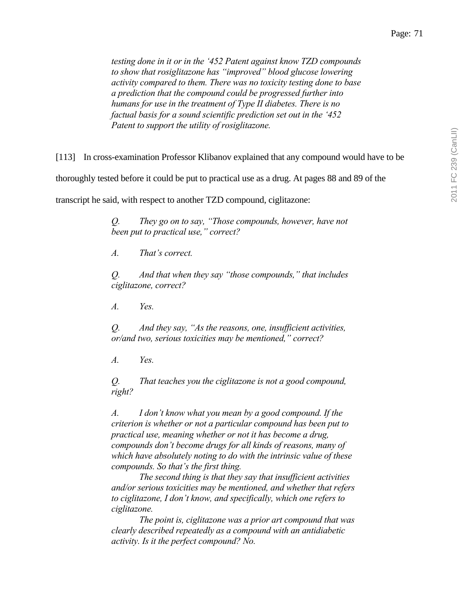*testing done in it or in the ë452 Patent against know TZD compounds*  to show that rosiglitazone has "improved" blood glucose lowering *activity compared to them. There was no toxicity testing done to base a prediction that the compound could be progressed further into humans for use in the treatment of Type II diabetes. There is no factual basis for a sound scientific prediction set out in the '452 Patent to support the utility of rosiglitazone.* 

[113] In cross-examination Professor Klibanov explained that any compound would have to be thoroughly tested before it could be put to practical use as a drug. At pages 88 and 89 of the transcript he said, with respect to another TZD compound, ciglitazone:

> *Q. They go on to say, ìThose compounds, however, have not been put to practical use," correct?*

*A. That's correct.* 

*Q. And that when they say "those compounds," that includes ciglitazone, correct?* 

*A. Yes.* 

*Q. And they say, "As the reasons, one, insufficient activities, or/and two, serious toxicities may be mentioned," correct?* 

*A. Yes.* 

*Q. That teaches you the ciglitazone is not a good compound, right?* 

*A. I donít know what you mean by a good compound. If the criterion is whether or not a particular compound has been put to practical use, meaning whether or not it has become a drug, compounds donít become drugs for all kinds of reasons, many of which have absolutely noting to do with the intrinsic value of these compounds. So that's the first thing.* 

 *The second thing is that they say that insufficient activities and/or serious toxicities may be mentioned, and whether that refers to ciglitazone, I donít know, and specifically, which one refers to ciglitazone.* 

 *The point is, ciglitazone was a prior art compound that was clearly described repeatedly as a compound with an antidiabetic activity. Is it the perfect compound? No.*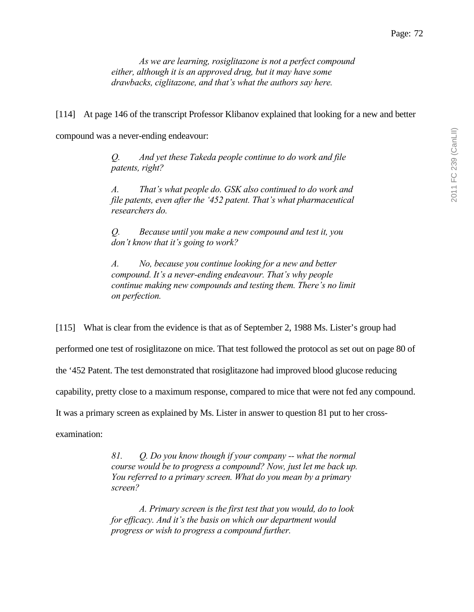*As we are learning, rosiglitazone is not a perfect compound either, although it is an approved drug, but it may have some drawbacks, ciglitazone, and that's what the authors say here.* 

[114] At page 146 of the transcript Professor Klibanov explained that looking for a new and better compound was a never-ending endeavour:

> *Q. And yet these Takeda people continue to do work and file patents, right?*

*A.* That's what people do. GSK also continued to do work and *file patents, even after the '452 patent. That's what pharmaceutical researchers do.* 

*Q. Because until you make a new compound and test it, you don't know that it's going to work?* 

*A. No, because you continue looking for a new and better compound. It's a never-ending endeavour. That's why people continue making new compounds and testing them. There's no limit on perfection.* 

[115] What is clear from the evidence is that as of September 2, 1988 Ms. Lister's group had

performed one test of rosiglitazone on mice. That test followed the protocol as set out on page 80 of

the '452 Patent. The test demonstrated that rosiglitazone had improved blood glucose reducing

capability, pretty close to a maximum response, compared to mice that were not fed any compound.

It was a primary screen as explained by Ms. Lister in answer to question 81 put to her cross-

examination:

*81. Q. Do you know though if your company -- what the normal course would be to progress a compound? Now, just let me back up. You referred to a primary screen. What do you mean by a primary screen?* 

 *A. Primary screen is the first test that you would, do to look for efficacy. And it's the basis on which our department would progress or wish to progress a compound further.*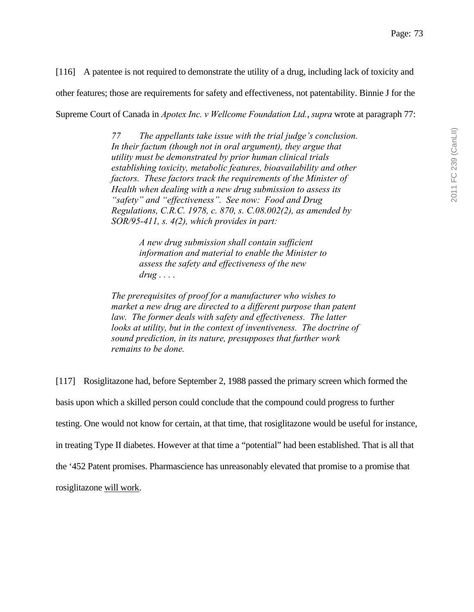[116] A patentee is not required to demonstrate the utility of a drug, including lack of toxicity and other features; those are requirements for safety and effectiveness, not patentability. Binnie J for the Supreme Court of Canada in *Apotex Inc. v Wellcome Foundation Ltd.*, *supra* wrote at paragraph 77:

> *77* The appellants take issue with the trial judge's conclusion. *In their factum (though not in oral argument), they argue that utility must be demonstrated by prior human clinical trials establishing toxicity, metabolic features, bioavailability and other*  factors. These factors track the requirements of the Minister of *Health when dealing with a new drug submission to assess its <sup><i>'safety*" and "effectiveness". See now: Food and Drug</sup> *Regulations, C.R.C. 1978, c. 870, s. C.08.002(2), as amended by SOR/95-411, s. 4(2), which provides in part:*

> > *A new drug submission shall contain sufficient information and material to enable the Minister to assess the safety and effectiveness of the new drug . . . .*

*The prerequisites of proof for a manufacturer who wishes to market a new drug are directed to a different purpose than patent law. The former deals with safety and effectiveness. The latter looks at utility, but in the context of inventiveness. The doctrine of sound prediction, in its nature, presupposes that further work remains to be done.* 

[117] Rosiglitazone had, before September 2, 1988 passed the primary screen which formed the basis upon which a skilled person could conclude that the compound could progress to further testing. One would not know for certain, at that time, that rosiglitazone would be useful for instance, in treating Type II diabetes. However at that time a "potential" had been established. That is all that the '452 Patent promises. Pharmascience has unreasonably elevated that promise to a promise that rosiglitazone will work.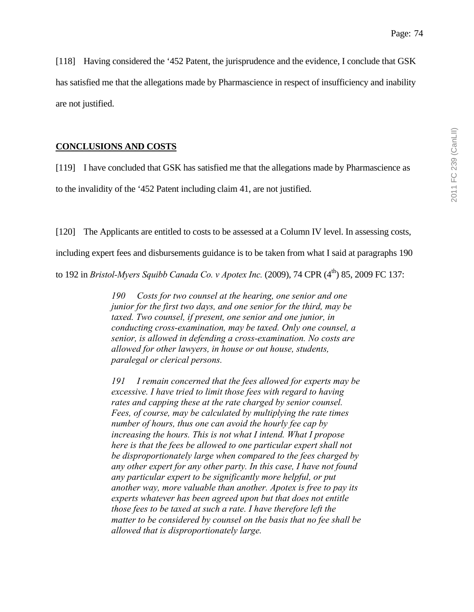[118] Having considered the '452 Patent, the jurisprudence and the evidence, I conclude that GSK has satisfied me that the allegations made by Pharmascience in respect of insufficiency and inability are not justified.

## **CONCLUSIONS AND COSTS**

[119] I have concluded that GSK has satisfied me that the allegations made by Pharmascience as to the invalidity of the '452 Patent including claim 41, are not justified.

[120] The Applicants are entitled to costs to be assessed at a Column IV level. In assessing costs, including expert fees and disbursements guidance is to be taken from what I said at paragraphs 190 to 192 in *Bristol-Myers Squibb Canada Co. v Apotex Inc.* (2009), 74 CPR (4<sup>th</sup>) 85, 2009 FC 137:

> *190 Costs for two counsel at the hearing, one senior and one junior for the first two days, and one senior for the third, may be taxed. Two counsel, if present, one senior and one junior, in conducting cross-examination, may be taxed. Only one counsel, a senior, is allowed in defending a cross-examination. No costs are allowed for other lawyers, in house or out house, students, paralegal or clerical persons.*

*191 I remain concerned that the fees allowed for experts may be excessive. I have tried to limit those fees with regard to having rates and capping these at the rate charged by senior counsel. Fees, of course, may be calculated by multiplying the rate times number of hours, thus one can avoid the hourly fee cap by increasing the hours. This is not what I intend. What I propose here is that the fees be allowed to one particular expert shall not be disproportionately large when compared to the fees charged by any other expert for any other party. In this case, I have not found any particular expert to be significantly more helpful, or put another way, more valuable than another. Apotex is free to pay its experts whatever has been agreed upon but that does not entitle those fees to be taxed at such a rate. I have therefore left the matter to be considered by counsel on the basis that no fee shall be allowed that is disproportionately large.*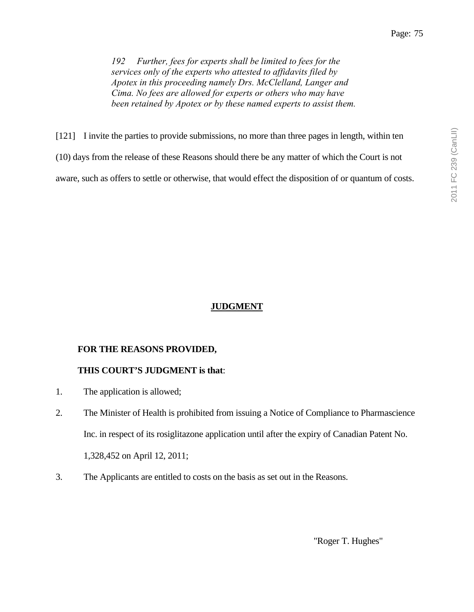*192 Further, fees for experts shall be limited to fees for the services only of the experts who attested to affidavits filed by Apotex in this proceeding namely Drs. McClelland, Langer and Cima. No fees are allowed for experts or others who may have been retained by Apotex or by these named experts to assist them.* 

[121] I invite the parties to provide submissions, no more than three pages in length, within ten (10) days from the release of these Reasons should there be any matter of which the Court is not aware, such as offers to settle or otherwise, that would effect the disposition of or quantum of costs.

# **JUDGMENT**

## **FOR THE REASONS PROVIDED,**

## **THIS COURT'S JUDGMENT is that**:

- 1. The application is allowed;
- 2. The Minister of Health is prohibited from issuing a Notice of Compliance to Pharmascience Inc. in respect of its rosiglitazone application until after the expiry of Canadian Patent No. 1,328,452 on April 12, 2011;
- 3. The Applicants are entitled to costs on the basis as set out in the Reasons.

"Roger T. Hughes"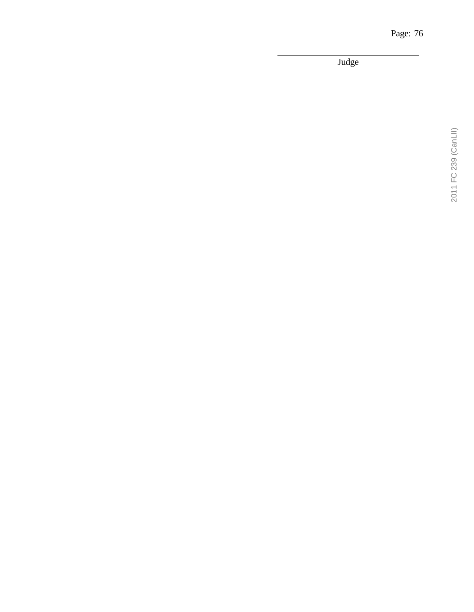Judge